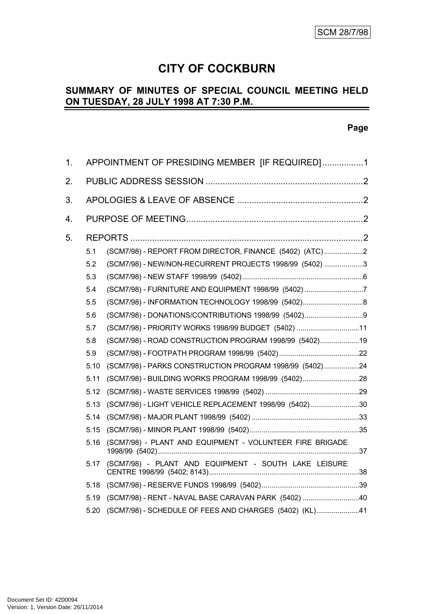# **CITY OF COCKBURN**

# **SUMMARY OF MINUTES OF SPECIAL COUNCIL MEETING HELD ON TUESDAY, 28 JULY 1998 AT 7:30 P.M.**

#### **Page**

| 1 <sub>1</sub>   | APPOINTMENT OF PRESIDING MEMBER [IF REQUIRED]1 |                                                          |  |
|------------------|------------------------------------------------|----------------------------------------------------------|--|
| 2.               |                                                |                                                          |  |
| 3.               |                                                |                                                          |  |
| $\overline{4}$ . |                                                |                                                          |  |
| 5.               |                                                |                                                          |  |
|                  | 5.1                                            | (SCM7/98) - REPORT FROM DIRECTOR, FINANCE (5402) (ATC)2  |  |
|                  | 5.2                                            | (SCM7/98) - NEW/NON-RECURRENT PROJECTS 1998/99 (5402) 3  |  |
|                  | 5.3                                            |                                                          |  |
|                  | 5.4                                            | (SCM7/98) - FURNITURE AND EQUIPMENT 1998/99 (5402) 7     |  |
|                  | 5.5                                            |                                                          |  |
|                  | 5.6                                            | (SCM7/98) - DONATIONS/CONTRIBUTIONS 1998/99 (5402)9      |  |
|                  | 5.7                                            | (SCM7/98) - PRIORITY WORKS 1998/99 BUDGET (5402) 11      |  |
|                  | 5.8                                            | (SCM7/98) - ROAD CONSTRUCTION PROGRAM 1998/99 (5402)19   |  |
|                  | 5.9                                            |                                                          |  |
|                  | 5.10                                           | (SCM7/98) - PARKS CONSTRUCTION PROGRAM 1998/99 (5402)24  |  |
|                  | 5.11                                           | (SCM7/98) - BUILDING WORKS PROGRAM 1998/99 (5402)28      |  |
|                  | 5.12                                           |                                                          |  |
|                  | 5.13                                           | (SCM7/98) - LIGHT VEHICLE REPLACEMENT 1998/99 (5402)30   |  |
|                  | 5.14                                           |                                                          |  |
|                  | 5.15                                           |                                                          |  |
|                  | 5.16                                           | (SCM7/98) - PLANT AND EQUIPMENT - VOLUNTEER FIRE BRIGADE |  |
|                  | 5.17                                           | (SCM7/98) - PLANT AND EQUIPMENT - SOUTH LAKE LEISURE     |  |
|                  | 5.18                                           |                                                          |  |
|                  | 5.19                                           | (SCM7/98) - RENT - NAVAL BASE CARAVAN PARK (5402) 40     |  |
|                  | 5.20                                           | (SCM7/98) - SCHEDULE OF FEES AND CHARGES (5402) (KL)41   |  |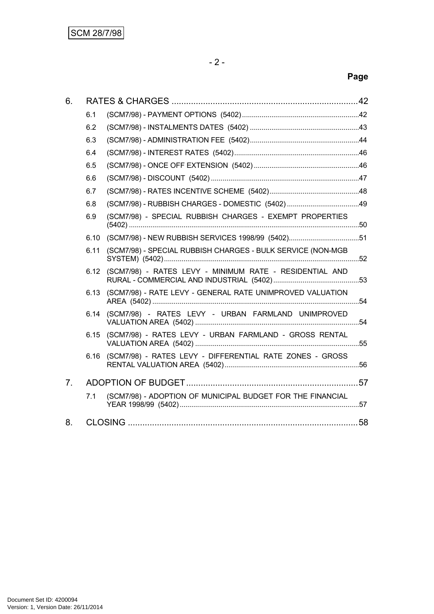# **Page**

| 6.             |      |                                                             |  |
|----------------|------|-------------------------------------------------------------|--|
|                | 6.1  |                                                             |  |
|                | 6.2  |                                                             |  |
|                | 6.3  |                                                             |  |
|                | 6.4  |                                                             |  |
|                | 6.5  |                                                             |  |
|                | 6.6  |                                                             |  |
|                | 6.7  |                                                             |  |
|                | 6.8  | (SCM7/98) - RUBBISH CHARGES - DOMESTIC (5402)49             |  |
|                | 6.9  | (SCM7/98) - SPECIAL RUBBISH CHARGES - EXEMPT PROPERTIES     |  |
|                | 6.10 | (SCM7/98) - NEW RUBBISH SERVICES 1998/99 (5402)51           |  |
|                | 6.11 | (SCM7/98) - SPECIAL RUBBISH CHARGES - BULK SERVICE (NON-MGB |  |
|                | 6.12 | (SCM7/98) - RATES LEVY - MINIMUM RATE - RESIDENTIAL AND     |  |
|                | 6.13 | (SCM7/98) - RATE LEVY - GENERAL RATE UNIMPROVED VALUATION   |  |
|                | 6.14 | (SCM7/98) - RATES LEVY - URBAN FARMLAND UNIMPROVED          |  |
|                | 6.15 | (SCM7/98) - RATES LEVY - URBAN FARMLAND - GROSS RENTAL      |  |
|                | 6.16 | (SCM7/98) - RATES LEVY - DIFFERENTIAL RATE ZONES - GROSS    |  |
| 7 <sub>1</sub> |      |                                                             |  |
|                | 7.1  | (SCM7/98) - ADOPTION OF MUNICIPAL BUDGET FOR THE FINANCIAL  |  |
| 8.             |      |                                                             |  |
|                |      |                                                             |  |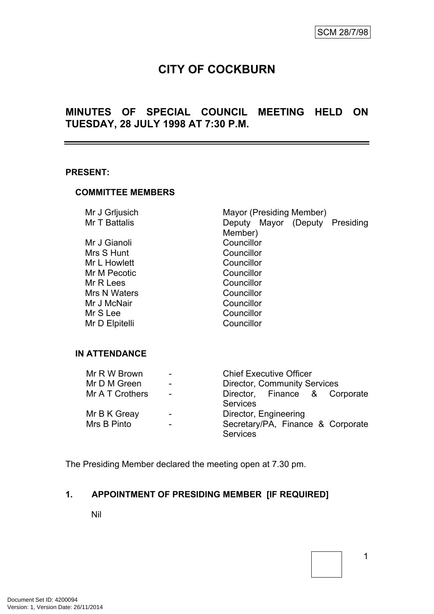# **CITY OF COCKBURN**

# **MINUTES OF SPECIAL COUNCIL MEETING HELD ON TUESDAY, 28 JULY 1998 AT 7:30 P.M.**

#### **PRESENT:**

#### **COMMITTEE MEMBERS**

| Mayor (Presiding Member)          |
|-----------------------------------|
| Deputy Mayor (Deputy<br>Presiding |
| Member)                           |
| Councillor                        |
| Councillor                        |
| Councillor                        |
| Councillor                        |
| Councillor                        |
| Councillor                        |
| Councillor                        |
| Councillor                        |
| Councillor                        |
|                                   |

#### **IN ATTENDANCE**

| Mr R W Brown    | $\overline{\phantom{a}}$ | <b>Chief Executive Officer</b>      |
|-----------------|--------------------------|-------------------------------------|
| Mr D M Green    | $\overline{\phantom{a}}$ | <b>Director, Community Services</b> |
| Mr A T Crothers | $\blacksquare$           | Director, Finance & Corporate       |
|                 |                          | <b>Services</b>                     |
| Mr B K Greay    | $\overline{\phantom{a}}$ | Director, Engineering               |
| Mrs B Pinto     | $\overline{\phantom{a}}$ | Secretary/PA, Finance & Corporate   |
|                 |                          | <b>Services</b>                     |

The Presiding Member declared the meeting open at 7.30 pm.

# <span id="page-2-0"></span>**1. APPOINTMENT OF PRESIDING MEMBER [IF REQUIRED]**

Nil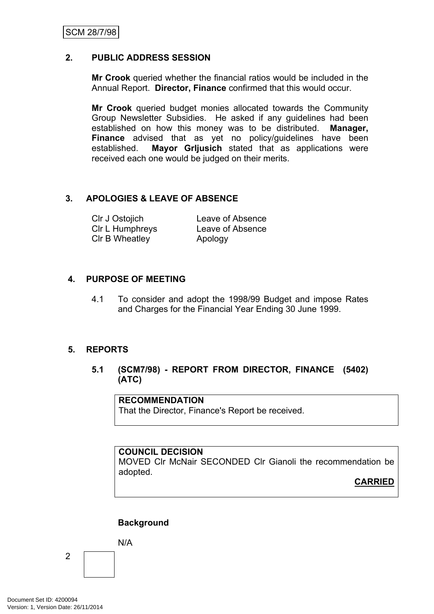#### <span id="page-3-0"></span>**2. PUBLIC ADDRESS SESSION**

**Mr Crook** queried whether the financial ratios would be included in the Annual Report. **Director, Finance** confirmed that this would occur.

**Mr Crook** queried budget monies allocated towards the Community Group Newsletter Subsidies. He asked if any guidelines had been established on how this money was to be distributed. **Manager, Finance** advised that as yet no policy/guidelines have been established. **Mayor Grljusich** stated that as applications were received each one would be judged on their merits.

#### <span id="page-3-1"></span>**3. APOLOGIES & LEAVE OF ABSENCE**

| CIr J Ostojich  | Leave of Absence |
|-----------------|------------------|
| CIr L Humphreys | Leave of Absence |
| CIr B Wheatley  | Apology          |

#### <span id="page-3-2"></span>**4. PURPOSE OF MEETING**

4.1 To consider and adopt the 1998/99 Budget and impose Rates and Charges for the Financial Year Ending 30 June 1999.

#### <span id="page-3-3"></span>**5. REPORTS**

<span id="page-3-4"></span>**5.1 (SCM7/98) - REPORT FROM DIRECTOR, FINANCE (5402) (ATC)**

**RECOMMENDATION**

That the Director, Finance's Report be received.

#### **COUNCIL DECISION**

MOVED Clr McNair SECONDED Clr Gianoli the recommendation be adopted.

**CARRIED**

#### **Background**

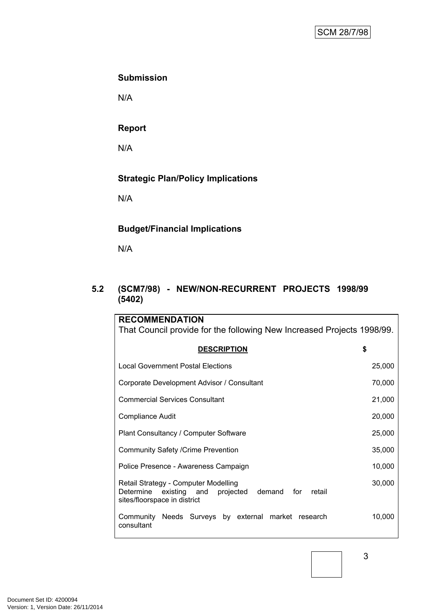#### **Submission**

N/A

#### **Report**

N/A

# **Strategic Plan/Policy Implications**

N/A

# **Budget/Financial Implications**

N/A

# <span id="page-4-0"></span>**5.2 (SCM7/98) - NEW/NON-RECURRENT PROJECTS 1998/99 (5402)**

| <b>RECOMMENDATION</b>                                                                                                                     |        |  |  |
|-------------------------------------------------------------------------------------------------------------------------------------------|--------|--|--|
| That Council provide for the following New Increased Projects 1998/99.                                                                    |        |  |  |
| <b>DESCRIPTION</b>                                                                                                                        | \$     |  |  |
| Local Government Postal Elections                                                                                                         | 25,000 |  |  |
| Corporate Development Advisor / Consultant                                                                                                |        |  |  |
| <b>Commercial Services Consultant</b>                                                                                                     |        |  |  |
| <b>Compliance Audit</b>                                                                                                                   |        |  |  |
| Plant Consultancy / Computer Software                                                                                                     |        |  |  |
| <b>Community Safety /Crime Prevention</b>                                                                                                 |        |  |  |
| Police Presence - Awareness Campaign                                                                                                      |        |  |  |
| Retail Strategy - Computer Modelling<br>Determine<br>existing and<br>projected<br>demand<br>for<br>retail<br>sites/floorspace in district | 30,000 |  |  |
| Community Needs Surveys by external market research<br>consultant                                                                         | 10,000 |  |  |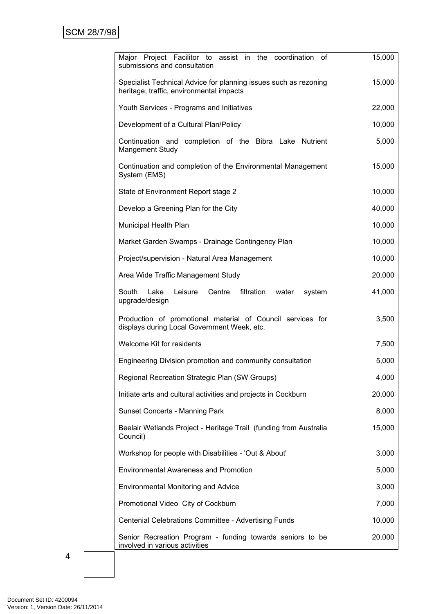| Major Project Facilitor to assist in the<br>coordination<br>οf<br>submissions and consultation               | 15,000 |
|--------------------------------------------------------------------------------------------------------------|--------|
| Specialist Technical Advice for planning issues such as rezoning<br>heritage, traffic, environmental impacts | 15,000 |
| Youth Services - Programs and Initiatives                                                                    | 22,000 |
| Development of a Cultural Plan/Policy                                                                        | 10,000 |
| Continuation and completion of the Bibra Lake Nutrient<br><b>Mangement Study</b>                             | 5,000  |
| Continuation and completion of the Environmental Management<br>System (EMS)                                  | 15,000 |
| State of Environment Report stage 2                                                                          | 10,000 |
| Develop a Greening Plan for the City                                                                         | 40,000 |
| Municipal Health Plan                                                                                        | 10,000 |
| Market Garden Swamps - Drainage Contingency Plan                                                             | 10,000 |
| Project/supervision - Natural Area Management                                                                | 10,000 |
| Area Wide Traffic Management Study                                                                           | 20,000 |
| South<br>Lake<br>Leisure<br>Centre<br>filtration<br>water<br>system<br>upgrade/design                        | 41,000 |
| Production of promotional material of Council services for<br>displays during Local Government Week, etc.    | 3,500  |
| Welcome Kit for residents                                                                                    | 7,500  |
| Engineering Division promotion and community consultation                                                    | 5,000  |
| Regional Recreation Strategic Plan (SW Groups)                                                               | 4,000  |
| Initiate arts and cultural activities and projects in Cockburn                                               | 20,000 |
| <b>Sunset Concerts - Manning Park</b>                                                                        | 8,000  |
| Beelair Wetlands Project - Heritage Trail (funding from Australia<br>Council)                                | 15,000 |
| Workshop for people with Disabilities - 'Out & About'                                                        | 3,000  |
| <b>Environmental Awareness and Promotion</b>                                                                 | 5,000  |
| <b>Environmental Monitoring and Advice</b>                                                                   | 3,000  |
| Promotional Video City of Cockburn                                                                           | 7,000  |
| Centenial Celebrations Committee - Advertising Funds                                                         | 10,000 |
| Senior Recreation Program - funding towards seniors to be<br>involved in various activities                  | 20,000 |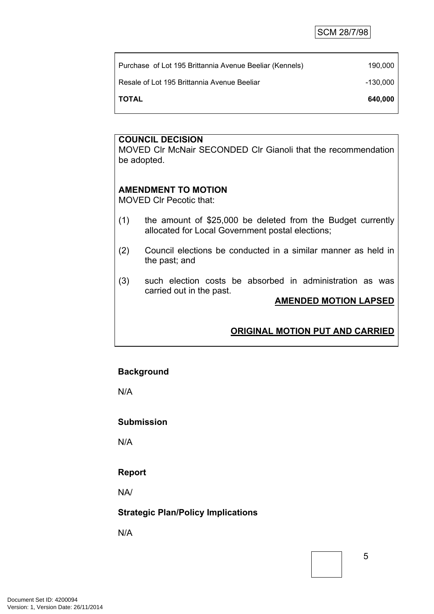| TOTAL |                                                         | 640,000  |
|-------|---------------------------------------------------------|----------|
|       | Resale of Lot 195 Brittannia Avenue Beeliar             | -130.000 |
|       | Purchase of Lot 195 Brittannia Avenue Beeliar (Kennels) | 190.000  |
|       |                                                         |          |

MOVED Clr McNair SECONDED Clr Gianoli that the recommendation be adopted.

#### **AMENDMENT TO MOTION**

MOVED Clr Pecotic that:

- (1) the amount of \$25,000 be deleted from the Budget currently allocated for Local Government postal elections;
- (2) Council elections be conducted in a similar manner as held in the past; and
- (3) such election costs be absorbed in administration as was carried out in the past.

#### **AMENDED MOTION LAPSED**

# **ORIGINAL MOTION PUT AND CARRIED**

#### **Background**

N/A

#### **Submission**

N/A

#### **Report**

NA/

#### **Strategic Plan/Policy Implications**

N/A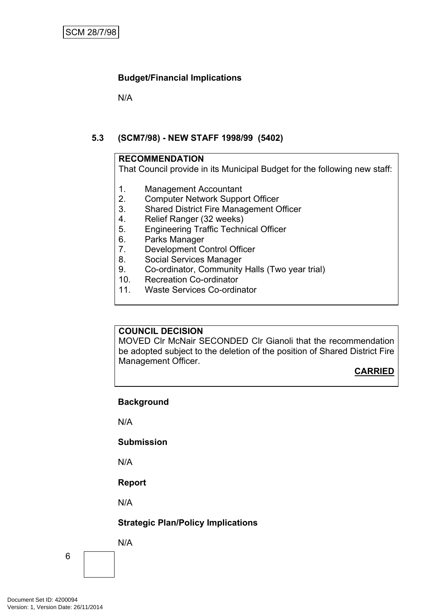N/A

# <span id="page-7-0"></span>**5.3 (SCM7/98) - NEW STAFF 1998/99 (5402)**

#### **RECOMMENDATION**

That Council provide in its Municipal Budget for the following new staff:

- 1. Management Accountant
- 2. Computer Network Support Officer
- 3. Shared District Fire Management Officer
- 4. Relief Ranger (32 weeks)
- 5. Engineering Traffic Technical Officer
- 6. Parks Manager
- 7. Development Control Officer
- 8. Social Services Manager
- 9. Co-ordinator, Community Halls (Two year trial)
- 10. Recreation Co-ordinator
- 11. Waste Services Co-ordinator

# **COUNCIL DECISION**

MOVED Clr McNair SECONDED Clr Gianoli that the recommendation be adopted subject to the deletion of the position of Shared District Fire Management Officer.

**CARRIED**

# **Background**

N/A

#### **Submission**

N/A

# **Report**

N/A

# **Strategic Plan/Policy Implications**

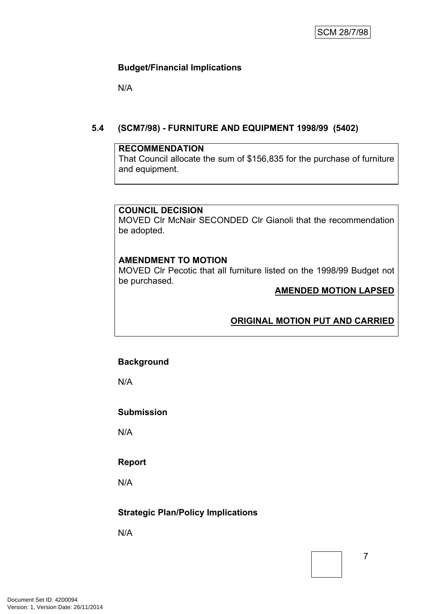N/A

# <span id="page-8-0"></span>**5.4 (SCM7/98) - FURNITURE AND EQUIPMENT 1998/99 (5402)**

#### **RECOMMENDATION**

That Council allocate the sum of \$156,835 for the purchase of furniture and equipment.

#### **COUNCIL DECISION**

MOVED Clr McNair SECONDED Clr Gianoli that the recommendation be adopted.

# **AMENDMENT TO MOTION**

MOVED Clr Pecotic that all furniture listed on the 1998/99 Budget not be purchased.

#### **AMENDED MOTION LAPSED**

# **ORIGINAL MOTION PUT AND CARRIED**

#### **Background**

N/A

#### **Submission**

N/A

#### **Report**

N/A

# **Strategic Plan/Policy Implications**

N/A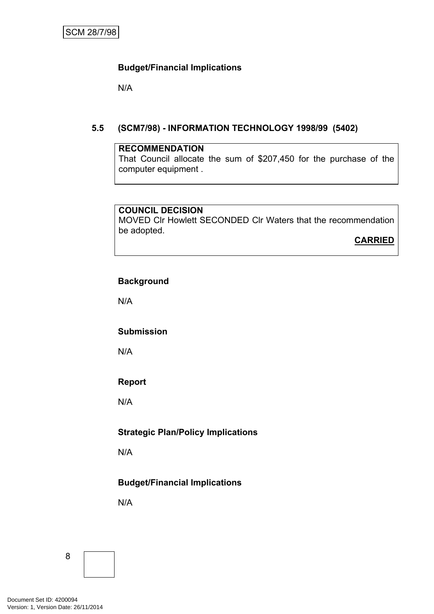N/A

#### <span id="page-9-0"></span>**5.5 (SCM7/98) - INFORMATION TECHNOLOGY 1998/99 (5402)**

#### **RECOMMENDATION**

That Council allocate the sum of \$207,450 for the purchase of the computer equipment .

#### **COUNCIL DECISION**

MOVED Clr Howlett SECONDED Clr Waters that the recommendation be adopted.

**CARRIED**

#### **Background**

N/A

#### **Submission**

N/A

# **Report**

N/A

# **Strategic Plan/Policy Implications**

N/A

# **Budget/Financial Implications**

N/A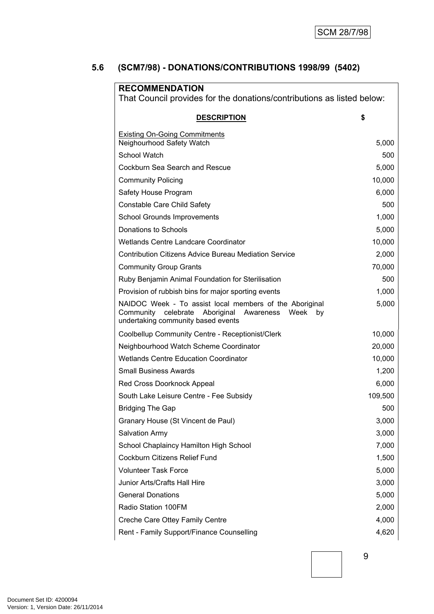# <span id="page-10-0"></span>**5.6 (SCM7/98) - DONATIONS/CONTRIBUTIONS 1998/99 (5402)**

| <b>RECOMMENDATION</b><br>That Council provides for the donations/contributions as listed below:                                                                  |         |  |  |
|------------------------------------------------------------------------------------------------------------------------------------------------------------------|---------|--|--|
| <b>DESCRIPTION</b>                                                                                                                                               | \$      |  |  |
| <b>Existing On-Going Commitments</b><br>Neighourhood Safety Watch                                                                                                | 5,000   |  |  |
| School Watch                                                                                                                                                     | 500     |  |  |
| Cockburn Sea Search and Rescue                                                                                                                                   | 5,000   |  |  |
| <b>Community Policing</b>                                                                                                                                        | 10,000  |  |  |
| Safety House Program                                                                                                                                             | 6,000   |  |  |
| Constable Care Child Safety                                                                                                                                      | 500     |  |  |
| <b>School Grounds Improvements</b>                                                                                                                               | 1,000   |  |  |
| Donations to Schools                                                                                                                                             | 5,000   |  |  |
| Wetlands Centre Landcare Coordinator                                                                                                                             | 10,000  |  |  |
| <b>Contribution Citizens Advice Bureau Mediation Service</b>                                                                                                     | 2,000   |  |  |
| <b>Community Group Grants</b>                                                                                                                                    | 70,000  |  |  |
| Ruby Benjamin Animal Foundation for Sterilisation                                                                                                                | 500     |  |  |
| Provision of rubbish bins for major sporting events                                                                                                              | 1,000   |  |  |
| NAIDOC Week - To assist local members of the Aboriginal<br>celebrate<br>Aboriginal<br>Week<br>Community<br>Awareness<br>by<br>undertaking community based events | 5,000   |  |  |
| Coolbellup Community Centre - Receptionist/Clerk                                                                                                                 | 10,000  |  |  |
| Neighbourhood Watch Scheme Coordinator                                                                                                                           | 20,000  |  |  |
| <b>Wetlands Centre Education Coordinator</b>                                                                                                                     | 10,000  |  |  |
| <b>Small Business Awards</b>                                                                                                                                     | 1,200   |  |  |
| Red Cross Doorknock Appeal                                                                                                                                       | 6,000   |  |  |
| South Lake Leisure Centre - Fee Subsidy                                                                                                                          | 109,500 |  |  |
| <b>Bridging The Gap</b>                                                                                                                                          | 500     |  |  |
| Granary House (St Vincent de Paul)                                                                                                                               | 3,000   |  |  |
| Salvation Army                                                                                                                                                   | 3,000   |  |  |
| School Chaplaincy Hamilton High School                                                                                                                           | 7,000   |  |  |
| Cockburn Citizens Relief Fund                                                                                                                                    | 1,500   |  |  |
| <b>Volunteer Task Force</b>                                                                                                                                      | 5,000   |  |  |
| <b>Junior Arts/Crafts Hall Hire</b>                                                                                                                              | 3,000   |  |  |
| <b>General Donations</b>                                                                                                                                         | 5,000   |  |  |
| Radio Station 100FM                                                                                                                                              | 2,000   |  |  |
| Creche Care Ottey Family Centre                                                                                                                                  | 4,000   |  |  |
| Rent - Family Support/Finance Counselling                                                                                                                        | 4,620   |  |  |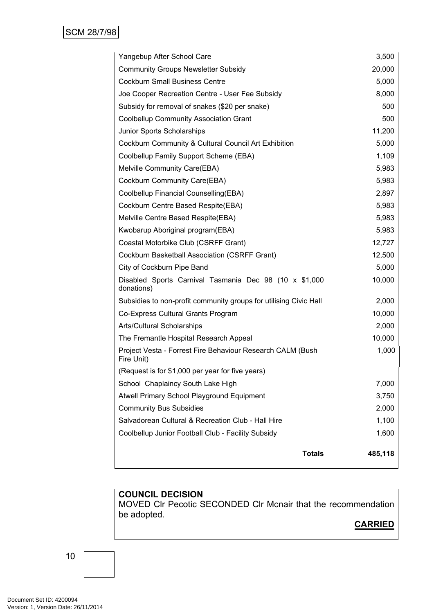| Yangebup After School Care                                               | 3,500   |
|--------------------------------------------------------------------------|---------|
| <b>Community Groups Newsletter Subsidy</b>                               | 20,000  |
| <b>Cockburn Small Business Centre</b>                                    | 5,000   |
| Joe Cooper Recreation Centre - User Fee Subsidy                          | 8,000   |
| Subsidy for removal of snakes (\$20 per snake)                           | 500     |
| <b>Coolbellup Community Association Grant</b>                            | 500     |
| Junior Sports Scholarships                                               | 11,200  |
| Cockburn Community & Cultural Council Art Exhibition                     | 5,000   |
| Coolbellup Family Support Scheme (EBA)                                   | 1,109   |
| Melville Community Care(EBA)                                             | 5,983   |
| Cockburn Community Care(EBA)                                             | 5,983   |
| Coolbellup Financial Counselling(EBA)                                    | 2,897   |
| Cockburn Centre Based Respite(EBA)                                       | 5,983   |
| Melville Centre Based Respite(EBA)                                       | 5,983   |
| Kwobarup Aboriginal program(EBA)                                         | 5,983   |
| Coastal Motorbike Club (CSRFF Grant)                                     | 12,727  |
| Cockburn Basketball Association (CSRFF Grant)                            | 12,500  |
| City of Cockburn Pipe Band                                               | 5,000   |
| Disabled Sports Carnival Tasmania Dec 98 (10 x \$1,000<br>donations)     | 10,000  |
| Subsidies to non-profit community groups for utilising Civic Hall        | 2,000   |
| Co-Express Cultural Grants Program                                       | 10,000  |
| Arts/Cultural Scholarships                                               | 2,000   |
| The Fremantle Hospital Research Appeal                                   | 10,000  |
| Project Vesta - Forrest Fire Behaviour Research CALM (Bush<br>Fire Unit) | 1,000   |
| (Request is for \$1,000 per year for five years)                         |         |
| School Chaplaincy South Lake High                                        | 7,000   |
| Atwell Primary School Playground Equipment                               | 3,750   |
| <b>Community Bus Subsidies</b>                                           | 2,000   |
| Salvadorean Cultural & Recreation Club - Hall Hire                       | 1,100   |
| Coolbellup Junior Football Club - Facility Subsidy                       | 1,600   |
|                                                                          |         |
| <b>Totals</b>                                                            | 485,118 |

MOVED Clr Pecotic SECONDED Clr Mcnair that the recommendation be adopted.

# **CARRIED**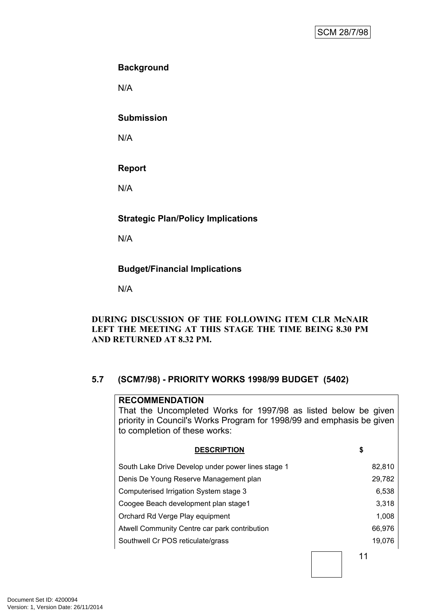# **Background**

N/A

#### **Submission**

N/A

# **Report**

N/A

# **Strategic Plan/Policy Implications**

N/A

# **Budget/Financial Implications**

N/A

#### **DURING DISCUSSION OF THE FOLLOWING ITEM CLR McNAIR LEFT THE MEETING AT THIS STAGE THE TIME BEING 8.30 PM AND RETURNED AT 8.32 PM.**

# <span id="page-12-0"></span>**5.7 (SCM7/98) - PRIORITY WORKS 1998/99 BUDGET (5402)**

# 11 **RECOMMENDATION** That the Uncompleted Works for 1997/98 as listed below be given priority in Council's Works Program for 1998/99 and emphasis be given to completion of these works: **DESCRIPTION \$** South Lake Drive Develop under power lines stage 1 82,810 Denis De Young Reserve Management plan 29,782 Computerised Irrigation System stage 3 6,538 Coogee Beach development plan stage1 3,318 Orchard Rd Verge Play equipment 1,008 Atwell Community Centre car park contribution 66,976 Southwell Cr POS reticulate/grass 19,076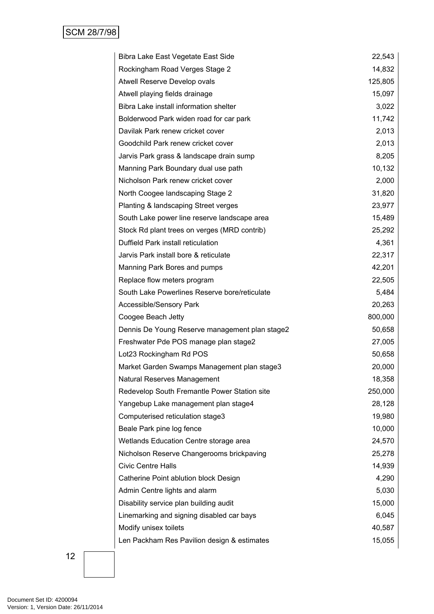| Bibra Lake East Vegetate East Side             | 22,543  |
|------------------------------------------------|---------|
| Rockingham Road Verges Stage 2                 | 14,832  |
| Atwell Reserve Develop ovals                   | 125,805 |
| Atwell playing fields drainage                 | 15,097  |
| Bibra Lake install information shelter         | 3,022   |
| Bolderwood Park widen road for car park        | 11,742  |
| Davilak Park renew cricket cover               | 2,013   |
| Goodchild Park renew cricket cover             | 2,013   |
| Jarvis Park grass & landscape drain sump       | 8,205   |
| Manning Park Boundary dual use path            | 10,132  |
| Nicholson Park renew cricket cover             | 2,000   |
| North Coogee landscaping Stage 2               | 31,820  |
| Planting & landscaping Street verges           | 23,977  |
| South Lake power line reserve landscape area   | 15,489  |
| Stock Rd plant trees on verges (MRD contrib)   | 25,292  |
| Duffield Park install reticulation             | 4,361   |
| Jarvis Park install bore & reticulate          | 22,317  |
| Manning Park Bores and pumps                   | 42,201  |
| Replace flow meters program                    | 22,505  |
| South Lake Powerlines Reserve bore/reticulate  | 5,484   |
| Accessible/Sensory Park                        | 20,263  |
| Coogee Beach Jetty                             | 800,000 |
| Dennis De Young Reserve management plan stage2 | 50,658  |
| Freshwater Pde POS manage plan stage2          | 27,005  |
| Lot23 Rockingham Rd POS                        | 50,658  |
| Market Garden Swamps Management plan stage3    | 20,000  |
| Natural Reserves Management                    | 18,358  |
| Redevelop South Fremantle Power Station site   | 250,000 |
| Yangebup Lake management plan stage4           | 28,128  |
| Computerised reticulation stage3               | 19,980  |
| Beale Park pine log fence                      | 10,000  |
| Wetlands Education Centre storage area         | 24,570  |
| Nicholson Reserve Changerooms brickpaving      | 25,278  |
| <b>Civic Centre Halls</b>                      | 14,939  |
| Catherine Point ablution block Design          | 4,290   |
| Admin Centre lights and alarm                  | 5,030   |
| Disability service plan building audit         | 15,000  |
| Linemarking and signing disabled car bays      | 6,045   |
| Modify unisex toilets                          | 40,587  |
| Len Packham Res Pavilion design & estimates    | 15,055  |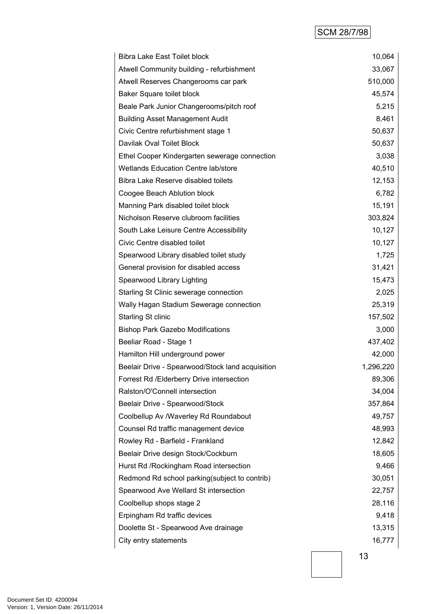# SCM 28/7/98

|                                                  | 10,064    |
|--------------------------------------------------|-----------|
| Atwell Community building - refurbishment        | 33,067    |
| Atwell Reserves Changerooms car park             | 510,000   |
| Baker Square toilet block                        | 45,574    |
| Beale Park Junior Changerooms/pitch roof         | 5,215     |
| <b>Building Asset Management Audit</b>           | 8,461     |
| Civic Centre refurbishment stage 1               | 50,637    |
| Davilak Oval Toilet Block                        | 50,637    |
| Ethel Cooper Kindergarten sewerage connection    | 3,038     |
| <b>Wetlands Education Centre lab/store</b>       | 40,510    |
| Bibra Lake Reserve disabled toilets              | 12,153    |
| Coogee Beach Ablution block                      | 6,782     |
| Manning Park disabled toilet block               | 15,191    |
| Nicholson Reserve clubroom facilities            | 303,824   |
| South Lake Leisure Centre Accessibility          | 10,127    |
| Civic Centre disabled toilet                     | 10,127    |
| Spearwood Library disabled toilet study          | 1,725     |
| General provision for disabled access            | 31,421    |
| Spearwood Library Lighting                       | 15,473    |
| Starling St Clinic sewerage connection           | 2,025     |
| Wally Hagan Stadium Sewerage connection          | 25,319    |
| <b>Starling St clinic</b>                        | 157,502   |
| <b>Bishop Park Gazebo Modifications</b>          | 3,000     |
| Beeliar Road - Stage 1                           | 437,402   |
| Hamilton Hill underground power                  | 42,000    |
| Beelair Drive - Spearwood/Stock land acquisition | 1,296,220 |
| Forrest Rd /Elderberry Drive intersection        | 89,306    |
| Ralston/O'Connell intersection                   | 34,004    |
| Beelair Drive - Spearwood/Stock                  | 357,864   |
| Coolbellup Av /Waverley Rd Roundabout            | 49,757    |
| Counsel Rd traffic management device             | 48,993    |
| Rowley Rd - Barfield - Frankland                 | 12,842    |
| Beelair Drive design Stock/Cockburn              | 18,605    |
| Hurst Rd / Rockingham Road intersection          | 9,466     |
| Redmond Rd school parking(subject to contrib)    | 30,051    |
| Spearwood Ave Wellard St intersection            | 22,757    |
| Coolbellup shops stage 2                         | 28,116    |
| Erpingham Rd traffic devices                     | 9,418     |
| Doolette St - Spearwood Ave drainage             | 13,315    |
| City entry statements                            | 16,777    |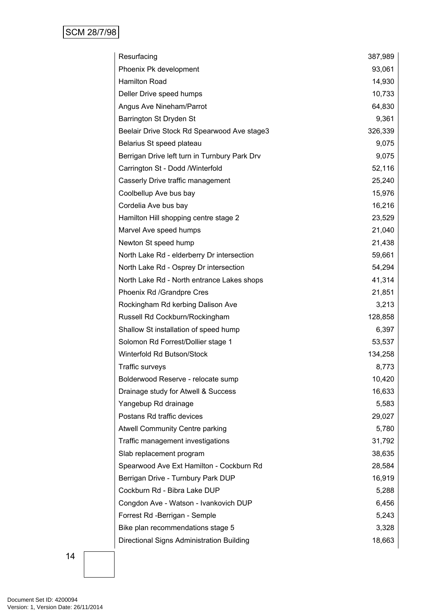| Resurfacing                                   | 387,989 |
|-----------------------------------------------|---------|
| Phoenix Pk development                        | 93,061  |
| <b>Hamilton Road</b>                          | 14,930  |
| Deller Drive speed humps                      | 10,733  |
| Angus Ave Nineham/Parrot                      | 64,830  |
| Barrington St Dryden St                       | 9,361   |
| Beelair Drive Stock Rd Spearwood Ave stage3   | 326,339 |
| Belarius St speed plateau                     | 9,075   |
| Berrigan Drive left turn in Turnbury Park Drv | 9,075   |
| Carrington St - Dodd /Winterfold              | 52,116  |
| Casserly Drive traffic management             | 25,240  |
| Coolbellup Ave bus bay                        | 15,976  |
| Cordelia Ave bus bay                          | 16,216  |
| Hamilton Hill shopping centre stage 2         | 23,529  |
| Marvel Ave speed humps                        | 21,040  |
| Newton St speed hump                          | 21,438  |
| North Lake Rd - elderberry Dr intersection    | 59,661  |
| North Lake Rd - Osprey Dr intersection        | 54,294  |
| North Lake Rd - North entrance Lakes shops    | 41,314  |
| Phoenix Rd /Grandpre Cres                     | 21,851  |
| Rockingham Rd kerbing Dalison Ave             | 3,213   |
| Russell Rd Cockburn/Rockingham                | 128,858 |
| Shallow St installation of speed hump         | 6,397   |
| Solomon Rd Forrest/Dollier stage 1            | 53,537  |
| Winterfold Rd Butson/Stock                    | 134,258 |
| Traffic surveys                               | 8,773   |
| Bolderwood Reserve - relocate sump            | 10,420  |
| Drainage study for Atwell & Success           | 16,633  |
| Yangebup Rd drainage                          | 5,583   |
| Postans Rd traffic devices                    | 29,027  |
| Atwell Community Centre parking               | 5,780   |
| Traffic management investigations             | 31,792  |
| Slab replacement program                      | 38,635  |
| Spearwood Ave Ext Hamilton - Cockburn Rd      | 28,584  |
| Berrigan Drive - Turnbury Park DUP            | 16,919  |
| Cockburn Rd - Bibra Lake DUP                  | 5,288   |
| Congdon Ave - Watson - Ivankovich DUP         | 6,456   |
| Forrest Rd -Berrigan - Semple                 | 5,243   |
| Bike plan recommendations stage 5             | 3,328   |
| Directional Signs Administration Building     | 18,663  |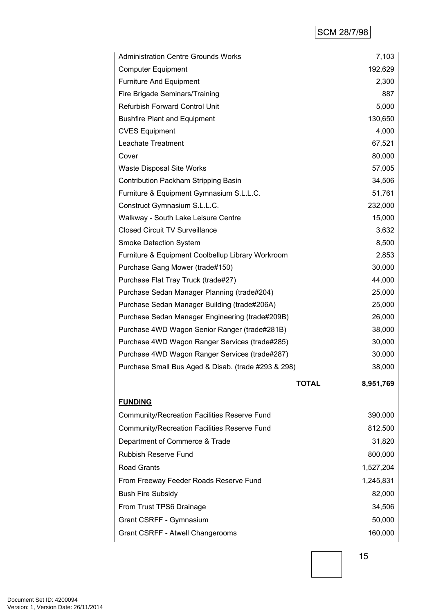# SCM 28/7/98

| <b>Administration Centre Grounds Works</b>          |              | 7,103     |  |
|-----------------------------------------------------|--------------|-----------|--|
| <b>Computer Equipment</b>                           |              | 192,629   |  |
| <b>Furniture And Equipment</b>                      |              | 2,300     |  |
| Fire Brigade Seminars/Training                      |              | 887       |  |
| Refurbish Forward Control Unit                      |              | 5,000     |  |
| <b>Bushfire Plant and Equipment</b>                 |              | 130,650   |  |
| <b>CVES Equipment</b>                               |              | 4,000     |  |
| Leachate Treatment                                  |              | 67,521    |  |
| Cover                                               |              | 80,000    |  |
| Waste Disposal Site Works                           |              | 57,005    |  |
| Contribution Packham Stripping Basin                |              | 34,506    |  |
| Furniture & Equipment Gymnasium S.L.L.C.            |              | 51,761    |  |
| Construct Gymnasium S.L.L.C.                        |              | 232,000   |  |
| Walkway - South Lake Leisure Centre                 |              | 15,000    |  |
| <b>Closed Circuit TV Surveillance</b>               |              | 3,632     |  |
| Smoke Detection System                              |              | 8,500     |  |
| Furniture & Equipment Coolbellup Library Workroom   |              | 2,853     |  |
| Purchase Gang Mower (trade#150)                     |              | 30,000    |  |
| Purchase Flat Tray Truck (trade#27)                 |              | 44,000    |  |
| Purchase Sedan Manager Planning (trade#204)         |              | 25,000    |  |
| Purchase Sedan Manager Building (trade#206A)        |              | 25,000    |  |
| Purchase Sedan Manager Engineering (trade#209B)     |              | 26,000    |  |
| Purchase 4WD Wagon Senior Ranger (trade#281B)       |              | 38,000    |  |
| Purchase 4WD Wagon Ranger Services (trade#285)      |              | 30,000    |  |
| Purchase 4WD Wagon Ranger Services (trade#287)      |              | 30,000    |  |
| Purchase Small Bus Aged & Disab. (trade #293 & 298) |              | 38,000    |  |
|                                                     | <b>TOTAL</b> | 8,951,769 |  |
| <b>FUNDING</b>                                      |              |           |  |
| Community/Recreation Facilities Reserve Fund        |              | 390,000   |  |
| Community/Recreation Facilities Reserve Fund        |              | 812,500   |  |
| Department of Commerce & Trade                      |              | 31,820    |  |
| <b>Rubbish Reserve Fund</b>                         |              | 800,000   |  |
| <b>Road Grants</b>                                  |              | 1,527,204 |  |
| From Freeway Feeder Roads Reserve Fund              |              | 1,245,831 |  |
| <b>Bush Fire Subsidy</b>                            |              | 82,000    |  |
| From Trust TPS6 Drainage                            |              | 34,506    |  |
| Grant CSRFF - Gymnasium                             |              | 50,000    |  |
| Grant CSRFF - Atwell Changerooms                    |              | 160,000   |  |
|                                                     |              |           |  |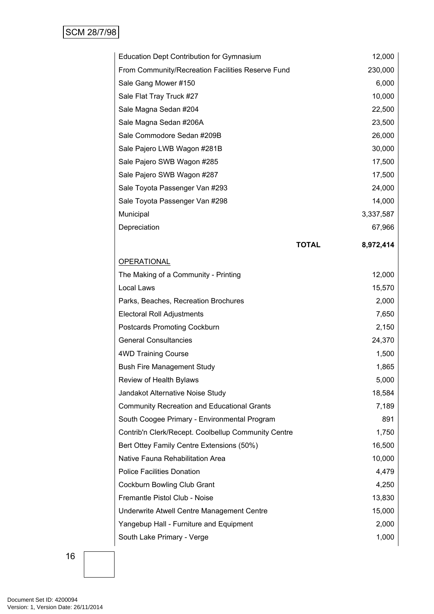| <b>Education Dept Contribution for Gymnasium</b>    |              | 12,000    |
|-----------------------------------------------------|--------------|-----------|
| From Community/Recreation Facilities Reserve Fund   |              | 230,000   |
| Sale Gang Mower #150                                |              | 6,000     |
| Sale Flat Tray Truck #27                            |              | 10,000    |
| Sale Magna Sedan #204                               |              | 22,500    |
| Sale Magna Sedan #206A                              |              | 23,500    |
| Sale Commodore Sedan #209B                          |              | 26,000    |
| Sale Pajero LWB Wagon #281B                         |              | 30,000    |
| Sale Pajero SWB Wagon #285                          |              | 17,500    |
| Sale Pajero SWB Wagon #287                          |              | 17,500    |
| Sale Toyota Passenger Van #293                      |              | 24,000    |
| Sale Toyota Passenger Van #298                      |              | 14,000    |
| Municipal                                           |              | 3,337,587 |
| Depreciation                                        |              | 67,966    |
|                                                     | <b>TOTAL</b> | 8,972,414 |
| <b>OPERATIONAL</b>                                  |              |           |
| The Making of a Community - Printing                |              | 12,000    |
| Local Laws                                          |              | 15,570    |
| Parks, Beaches, Recreation Brochures                |              | 2,000     |
| <b>Electoral Roll Adjustments</b>                   |              | 7,650     |
| Postcards Promoting Cockburn                        |              | 2,150     |
| <b>General Consultancies</b>                        |              | 24,370    |
| <b>4WD Training Course</b>                          |              | 1,500     |
| <b>Bush Fire Management Study</b>                   |              | 1,865     |
| Review of Health Bylaws                             |              | 5,000     |
| Jandakot Alternative Noise Study                    |              | 18,584    |
| <b>Community Recreation and Educational Grants</b>  |              | 7,189     |
| South Coogee Primary - Environmental Program        |              | 891       |
| Contrib'n Clerk/Recept. Coolbellup Community Centre |              | 1,750     |
| Bert Ottey Family Centre Extensions (50%)           |              | 16,500    |
| Native Fauna Rehabilitation Area                    |              | 10,000    |
| <b>Police Facilities Donation</b>                   |              | 4,479     |
| Cockburn Bowling Club Grant                         |              | 4,250     |
| Fremantle Pistol Club - Noise                       |              | 13,830    |
| Underwrite Atwell Centre Management Centre          |              | 15,000    |
| Yangebup Hall - Furniture and Equipment             |              | 2,000     |
| South Lake Primary - Verge                          |              | 1,000     |
|                                                     |              |           |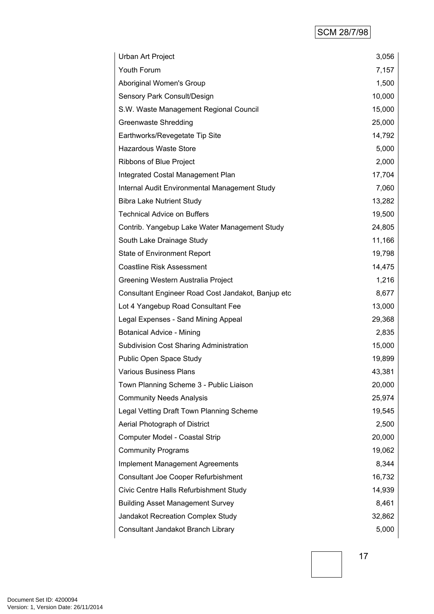# SCM 28/7/98

| Urban Art Project                                  | 3,056  |
|----------------------------------------------------|--------|
| Youth Forum                                        | 7,157  |
| Aboriginal Women's Group                           | 1,500  |
| Sensory Park Consult/Design                        | 10,000 |
| S.W. Waste Management Regional Council             | 15,000 |
| <b>Greenwaste Shredding</b>                        | 25,000 |
| Earthworks/Revegetate Tip Site                     | 14,792 |
| <b>Hazardous Waste Store</b>                       | 5,000  |
| Ribbons of Blue Project                            | 2,000  |
| Integrated Costal Management Plan                  | 17,704 |
| Internal Audit Environmental Management Study      | 7,060  |
| <b>Bibra Lake Nutrient Study</b>                   | 13,282 |
| <b>Technical Advice on Buffers</b>                 | 19,500 |
| Contrib. Yangebup Lake Water Management Study      | 24,805 |
| South Lake Drainage Study                          | 11,166 |
| <b>State of Environment Report</b>                 | 19,798 |
| <b>Coastline Risk Assessment</b>                   | 14,475 |
| Greening Western Australia Project                 | 1,216  |
| Consultant Engineer Road Cost Jandakot, Banjup etc | 8,677  |
| Lot 4 Yangebup Road Consultant Fee                 | 13,000 |
| Legal Expenses - Sand Mining Appeal                | 29,368 |
| <b>Botanical Advice - Mining</b>                   | 2,835  |
| <b>Subdivision Cost Sharing Administration</b>     | 15,000 |
| Public Open Space Study                            | 19,899 |
| <b>Various Business Plans</b>                      | 43,381 |
| Town Planning Scheme 3 - Public Liaison            | 20,000 |
| <b>Community Needs Analysis</b>                    | 25,974 |
| Legal Vetting Draft Town Planning Scheme           | 19,545 |
| Aerial Photograph of District                      | 2,500  |
| Computer Model - Coastal Strip                     | 20,000 |
| <b>Community Programs</b>                          | 19,062 |
| <b>Implement Management Agreements</b>             | 8,344  |
| Consultant Joe Cooper Refurbishment                | 16,732 |
| Civic Centre Halls Refurbishment Study             | 14,939 |
| <b>Building Asset Management Survey</b>            | 8,461  |
| Jandakot Recreation Complex Study                  | 32,862 |
| Consultant Jandakot Branch Library                 | 5,000  |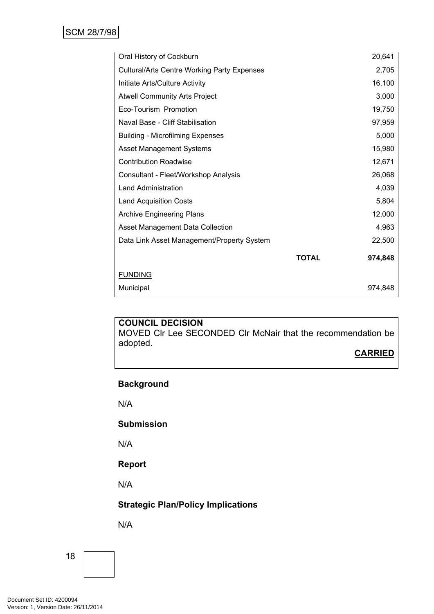| Oral History of Cockburn                           |              | 20,641  |
|----------------------------------------------------|--------------|---------|
| <b>Cultural/Arts Centre Working Party Expenses</b> |              | 2,705   |
| Initiate Arts/Culture Activity                     |              | 16,100  |
| <b>Atwell Community Arts Project</b>               |              | 3,000   |
| Eco-Tourism Promotion                              |              | 19,750  |
| Naval Base - Cliff Stabilisation                   |              | 97,959  |
| <b>Building - Microfilming Expenses</b>            |              | 5,000   |
| <b>Asset Management Systems</b>                    |              | 15,980  |
| <b>Contribution Roadwise</b>                       |              | 12,671  |
| Consultant - Fleet/Workshop Analysis               |              | 26,068  |
| <b>Land Administration</b>                         |              | 4,039   |
| <b>Land Acquisition Costs</b>                      |              | 5,804   |
| <b>Archive Engineering Plans</b>                   |              | 12,000  |
| Asset Management Data Collection                   |              | 4,963   |
| Data Link Asset Management/Property System         |              | 22,500  |
|                                                    | <b>TOTAL</b> | 974,848 |
| <b>FUNDING</b>                                     |              |         |
| Municipal                                          |              | 974,848 |

MOVED Clr Lee SECONDED Clr McNair that the recommendation be adopted.

**CARRIED**

# **Background**

N/A

**Submission**

N/A

# **Report**

N/A

# **Strategic Plan/Policy Implications**

N/A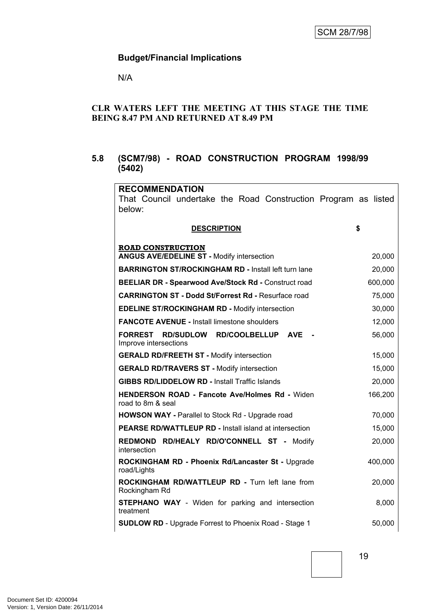N/A

#### **CLR WATERS LEFT THE MEETING AT THIS STAGE THE TIME BEING 8.47 PM AND RETURNED AT 8.49 PM**

# <span id="page-20-0"></span>**5.8 (SCM7/98) - ROAD CONSTRUCTION PROGRAM 1998/99 (5402)**

| <b>RECOMMENDATION</b>                                                      |         |
|----------------------------------------------------------------------------|---------|
| That Council undertake the Road Construction Program as listed             |         |
| below:                                                                     |         |
| <b>DESCRIPTION</b>                                                         | \$      |
| <b>ROAD CONSTRUCTION</b>                                                   |         |
| <b>ANGUS AVE/EDELINE ST - Modify intersection</b>                          | 20,000  |
| <b>BARRINGTON ST/ROCKINGHAM RD - Install left turn lane</b>                | 20,000  |
| <b>BEELIAR DR - Spearwood Ave/Stock Rd - Construct road</b>                | 600,000 |
| <b>CARRINGTON ST - Dodd St/Forrest Rd - Resurface road</b>                 | 75,000  |
| <b>EDELINE ST/ROCKINGHAM RD - Modify intersection</b>                      | 30,000  |
| <b>FANCOTE AVENUE - Install limestone shoulders</b>                        | 12,000  |
| <b>FORREST</b><br>RD/SUDLOW RD/COOLBELLUP AVE<br>Improve intersections     | 56,000  |
| <b>GERALD RD/FREETH ST - Modify intersection</b>                           | 15,000  |
| <b>GERALD RD/TRAVERS ST - Modify intersection</b>                          | 15,000  |
| <b>GIBBS RD/LIDDELOW RD - Install Traffic Islands</b>                      | 20,000  |
| <b>HENDERSON ROAD - Fancote Ave/Holmes Rd - Widen</b><br>road to 8m & seal | 166,200 |
| <b>HOWSON WAY - Parallel to Stock Rd - Upgrade road</b>                    | 70,000  |
| <b>PEARSE RD/WATTLEUP RD - Install island at intersection</b>              | 15,000  |
| REDMOND RD/HEALY RD/O'CONNELL ST - Modify<br>intersection                  | 20,000  |
| ROCKINGHAM RD - Phoenix Rd/Lancaster St - Upgrade<br>road/Lights           | 400,000 |
| ROCKINGHAM RD/WATTLEUP RD - Turn left lane from<br>Rockingham Rd           | 20,000  |
| <b>STEPHANO WAY</b> - Widen for parking and intersection<br>treatment      | 8,000   |
| <b>SUDLOW RD</b> - Upgrade Forrest to Phoenix Road - Stage 1               | 50,000  |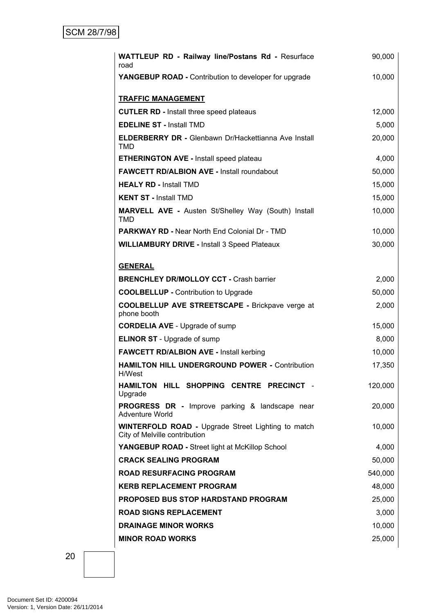| WATTLEUP RD - Railway line/Postans Rd - Resurface<br>road                                  | 90,000  |
|--------------------------------------------------------------------------------------------|---------|
| <b>YANGEBUP ROAD - Contribution to developer for upgrade</b>                               | 10,000  |
| <b>TRAFFIC MANAGEMENT</b>                                                                  |         |
| <b>CUTLER RD - Install three speed plateaus</b>                                            | 12,000  |
| <b>EDELINE ST - Install TMD</b>                                                            | 5,000   |
| <b>ELDERBERRY DR - Glenbawn Dr/Hackettianna Ave Install</b><br><b>TMD</b>                  | 20,000  |
| <b>ETHERINGTON AVE - Install speed plateau</b>                                             | 4,000   |
| <b>FAWCETT RD/ALBION AVE - Install roundabout</b>                                          | 50,000  |
| <b>HEALY RD - Install TMD</b>                                                              | 15,000  |
| <b>KENT ST - Install TMD</b>                                                               | 15,000  |
| <b>MARVELL AVE - Austen St/Shelley Way (South) Install</b><br><b>TMD</b>                   | 10,000  |
| <b>PARKWAY RD - Near North End Colonial Dr - TMD</b>                                       | 10,000  |
| <b>WILLIAMBURY DRIVE - Install 3 Speed Plateaux</b>                                        | 30,000  |
|                                                                                            |         |
| <b>GENERAL</b><br><b>BRENCHLEY DR/MOLLOY CCT - Crash barrier</b>                           | 2,000   |
| <b>COOLBELLUP - Contribution to Upgrade</b>                                                | 50,000  |
| COOLBELLUP AVE STREETSCAPE - Brickpave verge at                                            | 2,000   |
| phone booth                                                                                |         |
| <b>CORDELIA AVE - Upgrade of sump</b>                                                      | 15,000  |
| <b>ELINOR ST</b> - Upgrade of sump                                                         | 8,000   |
| <b>FAWCETT RD/ALBION AVE - Install kerbing</b>                                             | 10,000  |
| <b>HAMILTON HILL UNDERGROUND POWER - Contribution</b><br>H/West                            | 17,350  |
| HAMILTON HILL SHOPPING CENTRE PRECINCT -<br>Upgrade                                        | 120,000 |
| PROGRESS DR - Improve parking & landscape near<br>Adventure World                          | 20,000  |
| <b>WINTERFOLD ROAD - Upgrade Street Lighting to match</b><br>City of Melville contribution | 10,000  |
| YANGEBUP ROAD - Street light at McKillop School                                            | 4,000   |
| <b>CRACK SEALING PROGRAM</b>                                                               | 50,000  |
| <b>ROAD RESURFACING PROGRAM</b>                                                            | 540,000 |
| <b>KERB REPLACEMENT PROGRAM</b>                                                            | 48,000  |
| <b>PROPOSED BUS STOP HARDSTAND PROGRAM</b>                                                 | 25,000  |
| <b>ROAD SIGNS REPLACEMENT</b>                                                              | 3,000   |
| <b>DRAINAGE MINOR WORKS</b>                                                                | 10,000  |
| <b>MINOR ROAD WORKS</b>                                                                    | 25,000  |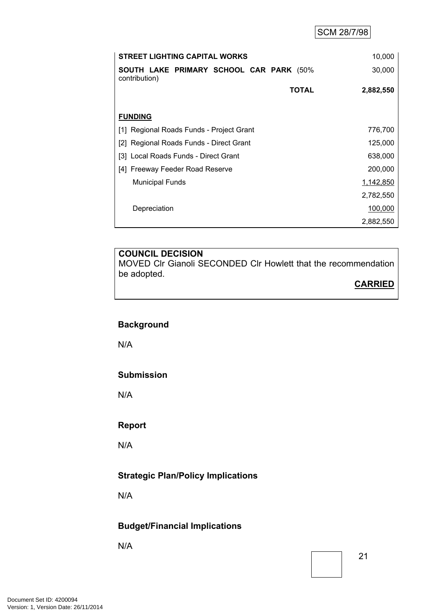| <b>STREET LIGHTING CAPITAL WORKS</b>                     |              | 10,000    |
|----------------------------------------------------------|--------------|-----------|
| SOUTH LAKE PRIMARY SCHOOL CAR PARK (50%<br>contribution) |              | 30,000    |
|                                                          | <b>TOTAL</b> | 2,882,550 |
|                                                          |              |           |
| <b>FUNDING</b>                                           |              |           |
| [1] Regional Roads Funds - Project Grant                 |              | 776,700   |
| [2] Regional Roads Funds - Direct Grant                  |              | 125,000   |
| [3] Local Roads Funds - Direct Grant                     |              | 638,000   |
| [4] Freeway Feeder Road Reserve                          |              | 200,000   |
| <b>Municipal Funds</b>                                   |              | 1,142,850 |
|                                                          |              | 2,782,550 |
| Depreciation                                             |              | 100,000   |
|                                                          |              | 2,882,550 |

MOVED Clr Gianoli SECONDED Clr Howlett that the recommendation be adopted.

#### **CARRIED**

# **Background**

N/A

#### **Submission**

N/A

#### **Report**

N/A

# **Strategic Plan/Policy Implications**

N/A

# **Budget/Financial Implications**

N/A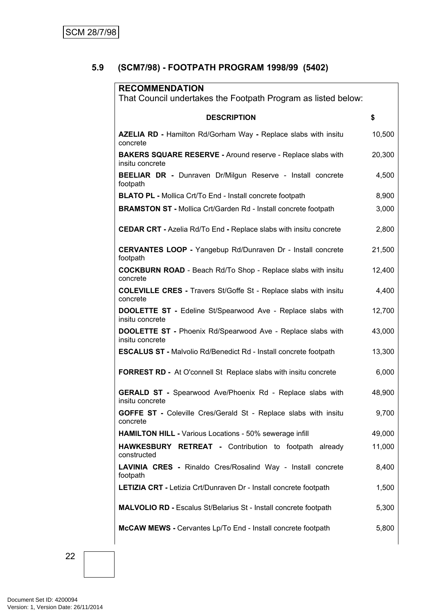# <span id="page-23-0"></span>**5.9 (SCM7/98) - FOOTPATH PROGRAM 1998/99 (5402)**

| <b>RECOMMENDATION</b><br>That Council undertakes the Footpath Program as listed below: |        |
|----------------------------------------------------------------------------------------|--------|
| <b>DESCRIPTION</b>                                                                     | \$     |
| AZELIA RD - Hamilton Rd/Gorham Way - Replace slabs with insitu<br>concrete             | 10,500 |
| <b>BAKERS SQUARE RESERVE - Around reserve - Replace slabs with</b><br>insitu concrete  | 20,300 |
| BEELIAR DR - Dunraven Dr/Milgun Reserve - Install concrete<br>footpath                 | 4,500  |
| <b>BLATO PL - Mollica Crt/To End - Install concrete footpath</b>                       | 8,900  |
| <b>BRAMSTON ST - Mollica Crt/Garden Rd - Install concrete footpath</b>                 | 3,000  |
| <b>CEDAR CRT - Azelia Rd/To End - Replace slabs with insitu concrete</b>               | 2,800  |
| <b>CERVANTES LOOP - Yangebup Rd/Dunraven Dr - Install concrete</b><br>footpath         | 21,500 |
| <b>COCKBURN ROAD</b> - Beach Rd/To Shop - Replace slabs with insitu<br>concrete        | 12,400 |
| <b>COLEVILLE CRES - Travers St/Goffe St - Replace slabs with insitu</b><br>concrete    | 4,400  |
| <b>DOOLETTE ST</b> - Edeline St/Spearwood Ave - Replace slabs with<br>insitu concrete  | 12,700 |
| DOOLETTE ST - Phoenix Rd/Spearwood Ave - Replace slabs with<br>insitu concrete         | 43,000 |
| <b>ESCALUS ST - Malvolio Rd/Benedict Rd - Install concrete footpath</b>                | 13,300 |
| <b>FORREST RD -</b> At O'connell St Replace slabs with insitu concrete                 | 6,000  |
| <b>GERALD ST</b> - Spearwood Ave/Phoenix Rd - Replace slabs with<br>insitu concrete    | 48,900 |
| <b>GOFFE ST</b> - Coleville Cres/Gerald St - Replace slabs with insitu<br>concrete     | 9,700  |
| HAMILTON HILL - Various Locations - 50% sewerage infill                                | 49,000 |
| HAWKESBURY RETREAT - Contribution to footpath already<br>constructed                   | 11,000 |
| LAVINIA CRES - Rinaldo Cres/Rosalind Way - Install concrete<br>footpath                | 8,400  |
| <b>LETIZIA CRT - Letizia Crt/Dunraven Dr - Install concrete footpath</b>               | 1,500  |
| <b>MALVOLIO RD - Escalus St/Belarius St - Install concrete footpath</b>                | 5,300  |
| McCAW MEWS - Cervantes Lp/To End - Install concrete footpath                           | 5,800  |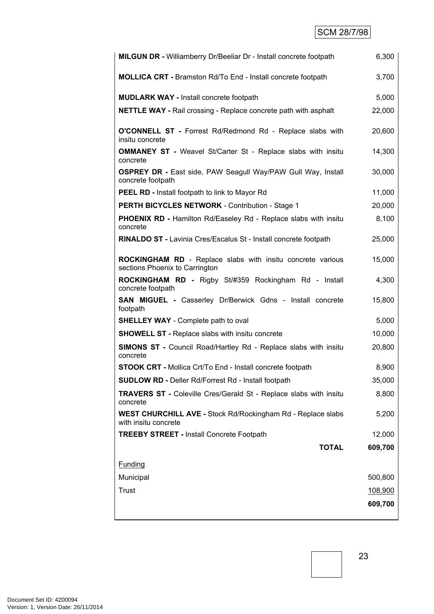| <b>MILGUN DR - Williamberry Dr/Beeliar Dr - Install concrete footpath</b>                    | 6,300   |
|----------------------------------------------------------------------------------------------|---------|
| <b>MOLLICA CRT</b> - Bramston Rd/To End - Install concrete footpath                          | 3,700   |
| <b>MUDLARK WAY - Install concrete footpath</b>                                               | 5,000   |
| <b>NETTLE WAY - Rail crossing - Replace concrete path with asphalt</b>                       | 22,000  |
| O'CONNELL ST - Forrest Rd/Redmond Rd - Replace slabs with<br>insitu concrete                 | 20,600  |
| <b>OMMANEY ST - Weavel St/Carter St - Replace slabs with insitulary</b><br>concrete          | 14,300  |
| <b>OSPREY DR - East side, PAW Seagull Way/PAW Gull Way, Install</b><br>concrete footpath     | 30,000  |
| <b>PEEL RD - Install footpath to link to Mayor Rd</b>                                        | 11,000  |
| <b>PERTH BICYCLES NETWORK - Contribution - Stage 1</b>                                       | 20,000  |
| <b>PHOENIX RD - Hamilton Rd/Easeley Rd - Replace slabs with insitu</b><br>concrete           | 8,100   |
| RINALDO ST - Lavinia Cres/Escalus St - Install concrete footpath                             | 25,000  |
| ROCKINGHAM RD - Replace slabs with insitu concrete various<br>sections Phoenix to Carrington | 15,000  |
| ROCKINGHAM RD - Rigby St/#359 Rockingham Rd - Install<br>concrete footpath                   | 4,300   |
| <b>SAN MIGUEL - Casserley Dr/Berwick Gdns - Install concrete</b><br>footpath                 | 15,800  |
| <b>SHELLEY WAY</b> - Complete path to oval                                                   | 5,000   |
| <b>SHOWELL ST - Replace slabs with insitu concrete</b>                                       | 10,000  |
| <b>SIMONS ST</b> - Council Road/Hartley Rd - Replace slabs with insitu<br>concrete           | 20,800  |
| STOOK CRT - Mollica Crt/To End - Install concrete footpath                                   | 8,900   |
| SUDLOW RD - Deller Rd/Forrest Rd - Install footpath                                          | 35,000  |
| <b>TRAVERS ST - Coleville Cres/Gerald St - Replace slabs with insitu</b><br>concrete         | 8,800   |
| WEST CHURCHILL AVE - Stock Rd/Rockingham Rd - Replace slabs<br>with insitu concrete          | 5,200   |
| <b>TREEBY STREET - Install Concrete Footpath</b>                                             | 12,000  |
| <b>TOTAL</b>                                                                                 | 609,700 |
| Funding                                                                                      |         |
| Municipal                                                                                    | 500,800 |
| <b>Trust</b>                                                                                 | 108,900 |
|                                                                                              | 609,700 |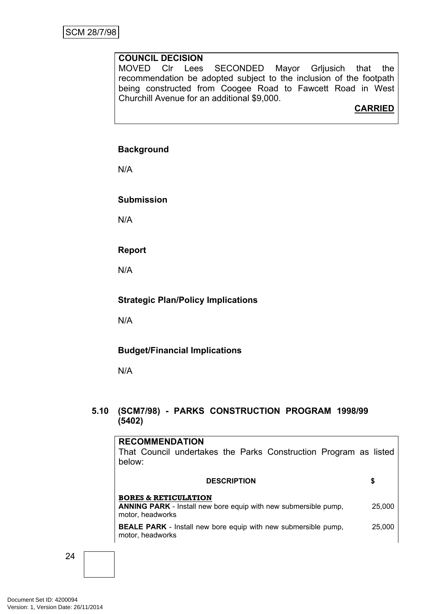MOVED Clr Lees SECONDED Mayor Grljusich that the recommendation be adopted subject to the inclusion of the footpath being constructed from Coogee Road to Fawcett Road in West Churchill Avenue for an additional \$9,000.

# **CARRIED**

#### **Background**

N/A

**Submission**

N/A

**Report**

N/A

#### **Strategic Plan/Policy Implications**

N/A

#### **Budget/Financial Implications**

N/A

# <span id="page-25-0"></span>**5.10 (SCM7/98) - PARKS CONSTRUCTION PROGRAM 1998/99 (5402)**

# **RECOMMENDATION**

That Council undertakes the Parks Construction Program as listed below:

| <b>DESCRIPTION</b>                                                                                                            | S      |
|-------------------------------------------------------------------------------------------------------------------------------|--------|
| <b>BORES &amp; RETICULATION</b><br><b>ANNING PARK</b> - Install new bore equip with new submersible pump,<br>motor, headworks | 25,000 |
| <b>BEALE PARK</b> - Install new bore equip with new submersible pump,<br>motor, headworks                                     | 25,000 |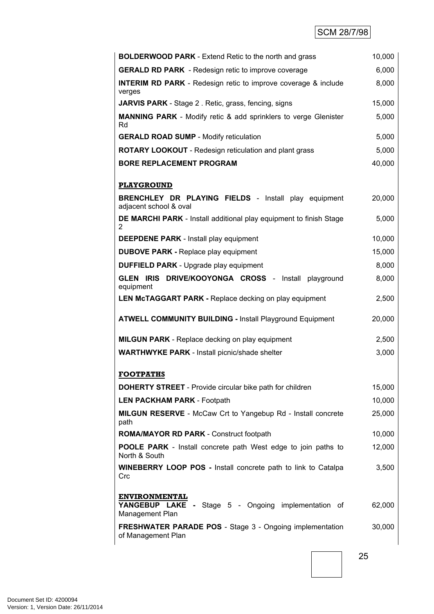| <b>BOLDERWOOD PARK</b> - Extend Retic to the north and grass                                   | 10,000 |
|------------------------------------------------------------------------------------------------|--------|
| <b>GERALD RD PARK</b> - Redesign retic to improve coverage                                     | 6,000  |
| <b>INTERIM RD PARK</b> - Redesign retic to improve coverage & include<br>verges                | 8,000  |
| <b>JARVIS PARK</b> - Stage 2. Retic, grass, fencing, signs                                     | 15,000 |
| <b>MANNING PARK</b> - Modify retic & add sprinklers to verge Glenister<br>Rd                   | 5,000  |
| <b>GERALD ROAD SUMP - Modify reticulation</b>                                                  | 5,000  |
| <b>ROTARY LOOKOUT</b> - Redesign reticulation and plant grass                                  | 5,000  |
| <b>BORE REPLACEMENT PROGRAM</b>                                                                | 40,000 |
|                                                                                                |        |
| <b>PLAYGROUND</b>                                                                              |        |
| <b>BRENCHLEY DR PLAYING FIELDS</b> - Install play equipment<br>adjacent school & oval          | 20,000 |
| DE MARCHI PARK - Install additional play equipment to finish Stage<br>$\overline{2}$           | 5,000  |
| <b>DEEPDENE PARK</b> - Install play equipment                                                  | 10,000 |
| <b>DUBOVE PARK - Replace play equipment</b>                                                    | 15,000 |
| <b>DUFFIELD PARK</b> - Upgrade play equipment                                                  | 8,000  |
| GLEN IRIS DRIVE/KOOYONGA CROSS - Install<br>playground<br>equipment                            | 8,000  |
| <b>LEN McTAGGART PARK - Replace decking on play equipment</b>                                  | 2,500  |
| <b>ATWELL COMMUNITY BUILDING - Install Playground Equipment</b>                                | 20,000 |
| <b>MILGUN PARK</b> - Replace decking on play equipment                                         | 2,500  |
| <b>WARTHWYKE PARK - Install picnic/shade shelter</b>                                           | 3,000  |
| <b>FOOTPATHS</b>                                                                               |        |
| <b>DOHERTY STREET</b> - Provide circular bike path for children                                | 15,000 |
| <b>LEN PACKHAM PARK - Footpath</b>                                                             | 10,000 |
| <b>MILGUN RESERVE</b> - McCaw Crt to Yangebup Rd - Install concrete                            | 25,000 |
| path                                                                                           |        |
| <b>ROMA/MAYOR RD PARK - Construct footpath</b>                                                 | 10,000 |
| <b>POOLE PARK</b> - Install concrete path West edge to join paths to<br>North & South          | 12,000 |
| <b>WINEBERRY LOOP POS - Install concrete path to link to Catalpa</b><br>Crc                    | 3,500  |
| <b>ENVIRONMENTAL</b><br>YANGEBUP LAKE - Stage 5 - Ongoing implementation of<br>Management Plan | 62,000 |
| <b>FRESHWATER PARADE POS - Stage 3 - Ongoing implementation</b><br>of Management Plan          | 30,000 |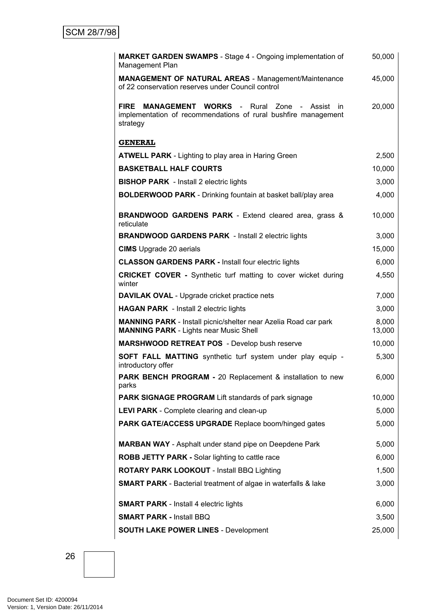| <b>MARKET GARDEN SWAMPS</b> - Stage 4 - Ongoing implementation of<br>Management Plan                                                              | 50,000          |
|---------------------------------------------------------------------------------------------------------------------------------------------------|-----------------|
| <b>MANAGEMENT OF NATURAL AREAS - Management/Maintenance</b><br>of 22 conservation reserves under Council control                                  | 45,000          |
| <b>FIRE</b><br><b>MANAGEMENT WORKS - Rural Zone - Assist</b><br>in.<br>implementation of recommendations of rural bushfire management<br>strategy | 20,000          |
| <b>GENERAL</b>                                                                                                                                    |                 |
| <b>ATWELL PARK</b> - Lighting to play area in Haring Green                                                                                        | 2,500           |
| <b>BASKETBALL HALF COURTS</b>                                                                                                                     | 10,000          |
| <b>BISHOP PARK</b> - Install 2 electric lights                                                                                                    | 3,000           |
| <b>BOLDERWOOD PARK</b> - Drinking fountain at basket ball/play area                                                                               | 4,000           |
| <b>BRANDWOOD GARDENS PARK - Extend cleared area, grass &amp;</b><br>reticulate                                                                    | 10,000          |
| <b>BRANDWOOD GARDENS PARK</b> - Install 2 electric lights                                                                                         | 3,000           |
| <b>CIMS</b> Upgrade 20 aerials                                                                                                                    | 15,000          |
| <b>CLASSON GARDENS PARK - Install four electric lights</b>                                                                                        | 6,000           |
| <b>CRICKET COVER</b> - Synthetic turf matting to cover wicket during<br>winter                                                                    | 4,550           |
| <b>DAVILAK OVAL</b> - Upgrade cricket practice nets                                                                                               | 7,000           |
| <b>HAGAN PARK</b> - Install 2 electric lights                                                                                                     | 3,000           |
| <b>MANNING PARK</b> - Install picnic/shelter near Azelia Road car park<br><b>MANNING PARK - Lights near Music Shell</b>                           | 8,000<br>13,000 |
| <b>MARSHWOOD RETREAT POS</b> - Develop bush reserve                                                                                               | 10,000          |
| SOFT FALL MATTING synthetic turf system under play equip -<br>introductory offer                                                                  | 5,300           |
| <b>PARK BENCH PROGRAM - 20 Replacement &amp; installation to new</b><br>parks                                                                     | 6,000           |
| <b>PARK SIGNAGE PROGRAM Lift standards of park signage</b>                                                                                        | 10,000          |
| LEVI PARK - Complete clearing and clean-up                                                                                                        | 5,000           |
| PARK GATE/ACCESS UPGRADE Replace boom/hinged gates                                                                                                | 5,000           |
| <b>MARBAN WAY</b> - Asphalt under stand pipe on Deepdene Park                                                                                     | 5,000           |
| ROBB JETTY PARK - Solar lighting to cattle race                                                                                                   | 6,000           |
| ROTARY PARK LOOKOUT - Install BBQ Lighting                                                                                                        | 1,500           |
| <b>SMART PARK</b> - Bacterial treatment of algae in waterfalls & lake                                                                             | 3,000           |
| <b>SMART PARK - Install 4 electric lights</b>                                                                                                     | 6,000           |
| <b>SMART PARK - Install BBQ</b>                                                                                                                   | 3,500           |
| <b>SOUTH LAKE POWER LINES - Development</b>                                                                                                       | 25,000          |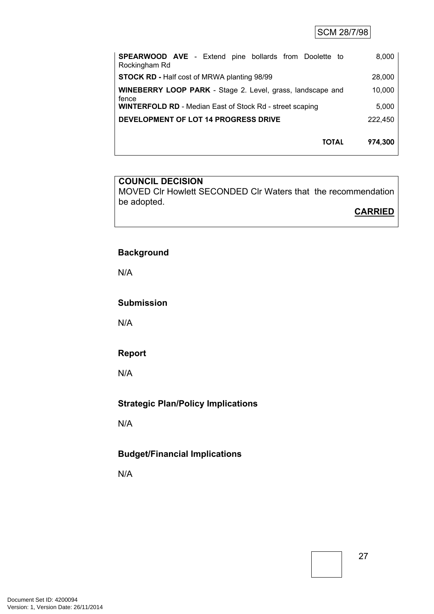SCM 28/7/98

| <b>SPEARWOOD AVE</b> - Extend pine bollards from Doolette to<br>Rockingham Rd | 8,000   |
|-------------------------------------------------------------------------------|---------|
| <b>STOCK RD - Half cost of MRWA planting 98/99</b>                            | 28,000  |
| WINEBERRY LOOP PARK - Stage 2. Level, grass, landscape and<br>fence           | 10,000  |
| <b>WINTERFOLD RD</b> - Median East of Stock Rd - street scaping               | 5,000   |
| DEVELOPMENT OF LOT 14 PROGRESS DRIVE                                          | 222,450 |
| <b>TOTAL</b>                                                                  | 974,300 |

#### **COUNCIL DECISION**

MOVED Clr Howlett SECONDED Clr Waters that the recommendation be adopted.

**CARRIED**

# **Background**

N/A

**Submission**

N/A

#### **Report**

N/A

# **Strategic Plan/Policy Implications**

N/A

# **Budget/Financial Implications**

N/A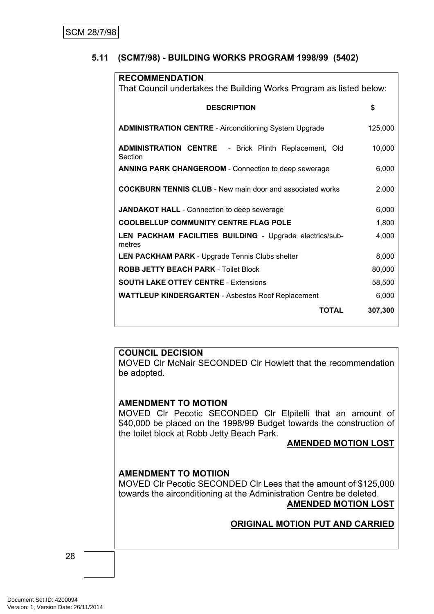# <span id="page-29-0"></span>**5.11 (SCM7/98) - BUILDING WORKS PROGRAM 1998/99 (5402)**

| <b>RECOMMENDATION</b>                                                   |         |
|-------------------------------------------------------------------------|---------|
| That Council undertakes the Building Works Program as listed below:     |         |
|                                                                         |         |
| <b>DESCRIPTION</b>                                                      | \$      |
| <b>ADMINISTRATION CENTRE - Airconditioning System Upgrade</b>           | 125,000 |
| <b>ADMINISTRATION CENTRE</b> - Brick Plinth Replacement, Old<br>Section | 10,000  |
| <b>ANNING PARK CHANGEROOM - Connection to deep sewerage</b>             | 6,000   |
| <b>COCKBURN TENNIS CLUB - New main door and associated works</b>        | 2,000   |
| JANDAKOT HALL - Connection to deep sewerage                             | 6,000   |
| <b>COOLBELLUP COMMUNITY CENTRE FLAG POLE</b>                            | 1,800   |
| LEN PACKHAM FACILITIES BUILDING - Upgrade electrics/sub-<br>metres      | 4,000   |
| <b>LEN PACKHAM PARK - Upgrade Tennis Clubs shelter</b>                  | 8,000   |
| <b>ROBB JETTY BEACH PARK - Toilet Block</b>                             | 80,000  |
| <b>SOUTH LAKE OTTEY CENTRE - Extensions</b>                             | 58,500  |
| <b>WATTLEUP KINDERGARTEN - Asbestos Roof Replacement</b>                | 6,000   |
| <b>TOTAL</b>                                                            | 307,300 |

#### **COUNCIL DECISION**

MOVED Clr McNair SECONDED Clr Howlett that the recommendation be adopted.

#### **AMENDMENT TO MOTION**

MOVED Clr Pecotic SECONDED Clr Elpitelli that an amount of \$40,000 be placed on the 1998/99 Budget towards the construction of the toilet block at Robb Jetty Beach Park.

#### **AMENDED MOTION LOST**

#### **AMENDMENT TO MOTIION**

MOVED Clr Pecotic SECONDED Clr Lees that the amount of \$125,000 towards the airconditioning at the Administration Centre be deleted. **AMENDED MOTION LOST**

#### **ORIGINAL MOTION PUT AND CARRIED**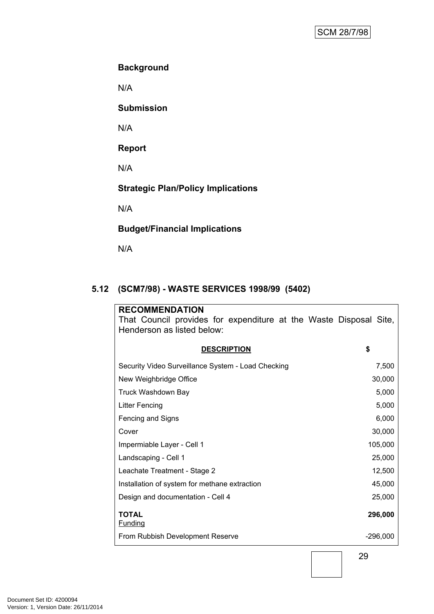# **Background**

N/A

**Submission**

N/A

**Report**

N/A

**Strategic Plan/Policy Implications**

N/A

# **Budget/Financial Implications**

N/A

# <span id="page-30-0"></span>**5.12 (SCM7/98) - WASTE SERVICES 1998/99 (5402)**

| <b>RECOMMENDATION</b><br>That Council provides for expenditure at the Waste Disposal Site, |            |
|--------------------------------------------------------------------------------------------|------------|
| Henderson as listed below:                                                                 |            |
| <b>DESCRIPTION</b>                                                                         | \$         |
| Security Video Surveillance System - Load Checking                                         | 7,500      |
| New Weighbridge Office                                                                     | 30,000     |
| Truck Washdown Bay                                                                         | 5,000      |
| <b>Litter Fencing</b>                                                                      | 5,000      |
| Fencing and Signs                                                                          | 6,000      |
| Cover                                                                                      | 30,000     |
| Impermiable Layer - Cell 1                                                                 | 105,000    |
| Landscaping - Cell 1                                                                       | 25,000     |
| Leachate Treatment - Stage 2                                                               | 12,500     |
| Installation of system for methane extraction                                              | 45,000     |
| Design and documentation - Cell 4                                                          | 25,000     |
| <b>TOTAL</b><br><b>Funding</b>                                                             | 296,000    |
| From Rubbish Development Reserve                                                           | $-296,000$ |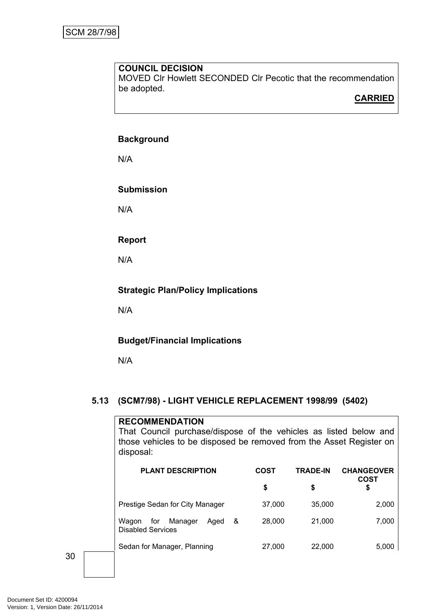MOVED Clr Howlett SECONDED Clr Pecotic that the recommendation be adopted.

# **CARRIED**

#### **Background**

N/A

#### **Submission**

N/A

# **Report**

N/A

# **Strategic Plan/Policy Implications**

N/A

# **Budget/Financial Implications**

N/A

# <span id="page-31-0"></span>**5.13 (SCM7/98) - LIGHT VEHICLE REPLACEMENT 1998/99 (5402)**

# **RECOMMENDATION** That Council purchase/dispose of the vehicles as listed below and those vehicles to be disposed be removed from the Asset Register on disposal:

| <b>PLANT DESCRIPTION</b>                                         | COST   | <b>TRADE-IN</b> | <b>CHANGEOVER</b><br><b>COST</b> |
|------------------------------------------------------------------|--------|-----------------|----------------------------------|
|                                                                  | \$     | \$              | \$                               |
| Prestige Sedan for City Manager                                  | 37,000 | 35,000          | 2,000                            |
| Manager<br>for<br>Aged<br>Waqon<br>&<br><b>Disabled Services</b> | 28,000 | 21,000          | 7,000                            |
| Sedan for Manager, Planning                                      | 27,000 | 22,000          | 5,000                            |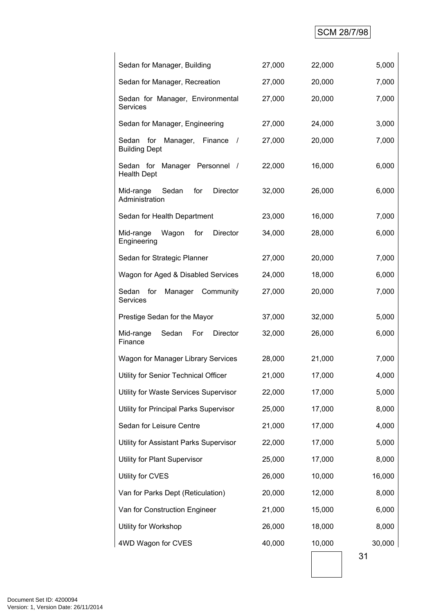# SCM 28/7/98

| Sedan for Manager, Building                                   | 27,000 | 22,000 | 5,000  |
|---------------------------------------------------------------|--------|--------|--------|
| Sedan for Manager, Recreation                                 | 27,000 | 20,000 | 7,000  |
| Sedan for Manager, Environmental<br>Services                  | 27,000 | 20,000 | 7,000  |
| Sedan for Manager, Engineering                                | 27,000 | 24,000 | 3,000  |
| Sedan<br>for<br>Manager,<br>Finance /<br><b>Building Dept</b> | 27,000 | 20,000 | 7,000  |
| Sedan for Manager Personnel /<br><b>Health Dept</b>           | 22,000 | 16,000 | 6,000  |
| Director<br>Mid-range<br>Sedan<br>for<br>Administration       | 32,000 | 26,000 | 6,000  |
| Sedan for Health Department                                   | 23,000 | 16,000 | 7,000  |
| Mid-range<br>Wagon<br>for<br><b>Director</b><br>Engineering   | 34,000 | 28,000 | 6,000  |
| Sedan for Strategic Planner                                   | 27,000 | 20,000 | 7,000  |
| Wagon for Aged & Disabled Services                            | 24,000 | 18,000 | 6,000  |
| Sedan<br>for<br>Manager<br>Community<br>Services              | 27,000 | 20,000 | 7,000  |
| Prestige Sedan for the Mayor                                  | 37,000 | 32,000 | 5,000  |
| Mid-range<br>Sedan<br>For<br><b>Director</b><br>Finance       | 32,000 | 26,000 | 6,000  |
| Wagon for Manager Library Services                            | 28,000 | 21,000 | 7,000  |
| Utility for Senior Technical Officer                          | 21,000 | 17,000 | 4,000  |
| Utility for Waste Services Supervisor                         | 22,000 | 17,000 | 5,000  |
| Utility for Principal Parks Supervisor                        | 25,000 | 17,000 | 8,000  |
| Sedan for Leisure Centre                                      | 21,000 | 17,000 | 4,000  |
| Utility for Assistant Parks Supervisor                        | 22,000 | 17,000 | 5,000  |
| Utility for Plant Supervisor                                  | 25,000 | 17,000 | 8,000  |
| Utility for CVES                                              | 26,000 | 10,000 | 16,000 |
| Van for Parks Dept (Reticulation)                             | 20,000 | 12,000 | 8,000  |
| Van for Construction Engineer                                 | 21,000 | 15,000 | 6,000  |
| Utility for Workshop                                          | 26,000 | 18,000 | 8,000  |
| 4WD Wagon for CVES                                            | 40,000 | 10,000 | 30,000 |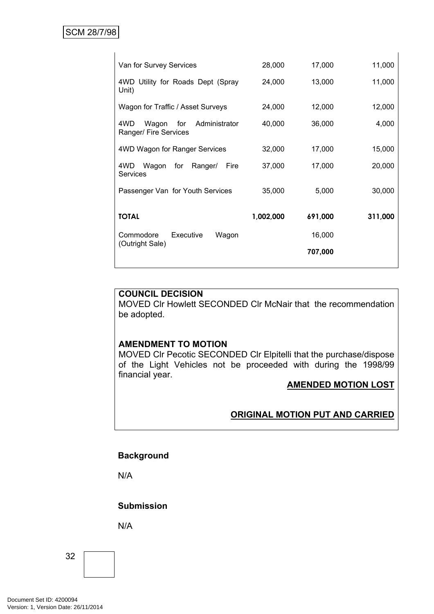$\overline{\phantom{a}}$ 

| Van for Survey Services                                       | 28,000    | 17,000  | 11,000  |
|---------------------------------------------------------------|-----------|---------|---------|
| 4WD Utility for Roads Dept (Spray<br>Unit)                    | 24,000    | 13,000  | 11,000  |
| Wagon for Traffic / Asset Surveys                             | 24,000    | 12,000  | 12,000  |
| 4WD<br>for<br>Administrator<br>Wagon<br>Ranger/ Fire Services | 40,000    | 36,000  | 4,000   |
| 4WD Wagon for Ranger Services                                 | 32,000    | 17,000  | 15,000  |
| 4WD.<br>Wagon<br>for<br>Ranger/<br>Fire<br><b>Services</b>    | 37,000    | 17,000  | 20,000  |
| Passenger Van for Youth Services                              | 35,000    | 5,000   | 30,000  |
| <b>TOTAL</b>                                                  | 1,002,000 | 691,000 | 311,000 |
| Commodore<br>Executive<br>Wagon                               |           | 16,000  |         |
| (Outright Sale)                                               |           | 707,000 |         |

#### **COUNCIL DECISION**

MOVED Clr Howlett SECONDED Clr McNair that the recommendation be adopted.

#### **AMENDMENT TO MOTION**

MOVED Clr Pecotic SECONDED Clr Elpitelli that the purchase/dispose of the Light Vehicles not be proceeded with during the 1998/99 financial year.

#### **AMENDED MOTION LOST**

# **ORIGINAL MOTION PUT AND CARRIED**

# **Background**

N/A

#### **Submission**

N/A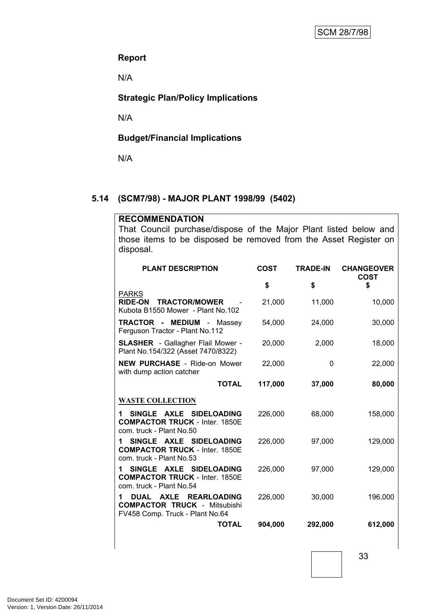#### **Report**

N/A

# **Strategic Plan/Policy Implications**

N/A

# **Budget/Financial Implications**

N/A

#### <span id="page-34-0"></span>**5.14 (SCM7/98) - MAJOR PLANT 1998/99 (5402)**

#### **RECOMMENDATION**

That Council purchase/dispose of the Major Plant listed below and those items to be disposed be removed from the Asset Register on disposal.

| <b>PLANT DESCRIPTION</b>                                                                                                        | <b>COST</b> | <b>TRADE-IN</b> | <b>CHANGEOVER</b><br><b>COST</b> |
|---------------------------------------------------------------------------------------------------------------------------------|-------------|-----------------|----------------------------------|
|                                                                                                                                 | \$          | \$              | \$                               |
| <b>PARKS</b><br><b>TRACTOR/MOWER</b><br><b>RIDE-ON</b><br>Kubota B1550 Mower - Plant No.102                                     | 21,000      | 11,000          | 10,000                           |
| <b>TRACTOR - MEDIUM - Massey</b><br>Ferguson Tractor - Plant No.112                                                             | 54,000      | 24,000          | 30,000                           |
| <b>SLASHER</b> - Gallagher Flail Mower -<br>Plant No.154/322 (Asset 7470/8322)                                                  | 20,000      | 2,000           | 18,000                           |
| <b>NEW PURCHASE - Ride-on Mower</b><br>with dump action catcher                                                                 | 22,000      | 0               | 22,000                           |
| <b>TOTAL</b>                                                                                                                    | 117,000     | 37,000          | 80,000                           |
| <b>WASTE COLLECTION</b>                                                                                                         |             |                 |                                  |
| SINGLE AXLE SIDELOADING<br>1.<br><b>COMPACTOR TRUCK - Inter. 1850E</b><br>com. truck - Plant No.50                              | 226,000     | 68,000          | 158,000                          |
| SINGLE AXLE SIDELOADING<br>1.<br><b>COMPACTOR TRUCK - Inter. 1850E</b><br>com. truck - Plant No.53                              | 226,000     | 97,000          | 129,000                          |
| SINGLE AXLE SIDELOADING<br><b>COMPACTOR TRUCK - Inter. 1850E</b><br>com. truck - Plant No.54                                    | 226,000     | 97,000          | 129,000                          |
| <b>AXLE</b><br><b>REARLOADING</b><br><b>DUAL</b><br>1<br><b>COMPACTOR TRUCK - Mitsubishi</b><br>FV458 Comp. Truck - Plant No.64 | 226,000     | 30,000          | 196,000                          |
| <b>TOTAL</b>                                                                                                                    | 904,000     | 292,000         | 612,000                          |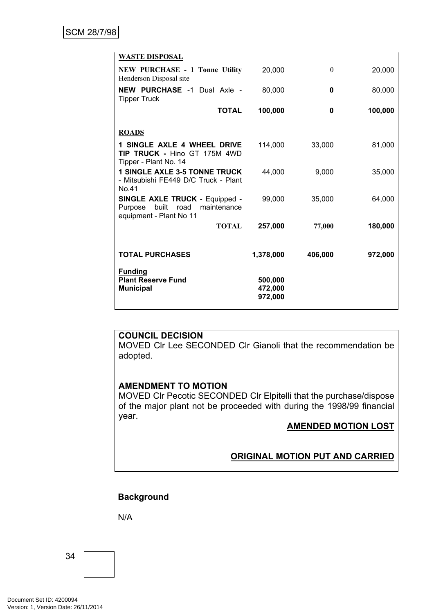| <b>WASTE DISPOSAL</b>                                                                                       |                               |          |         |
|-------------------------------------------------------------------------------------------------------------|-------------------------------|----------|---------|
| <b>NEW PURCHASE - 1 Tonne Utility</b><br>Henderson Disposal site                                            | 20,000                        | $\theta$ | 20,000  |
| <b>NEW PURCHASE -1 Dual Axle -</b><br><b>Tipper Truck</b>                                                   | 80,000                        | 0        | 80,000  |
| <b>TOTAL</b>                                                                                                | 100,000                       | 0        | 100,000 |
| <b>ROADS</b>                                                                                                |                               |          |         |
| <b>1 SINGLE AXLE 4 WHEEL DRIVE</b><br><b>TIP TRUCK - Hino GT 175M 4WD</b><br>Tipper - Plant No. 14          | 114,000                       | 33,000   | 81,000  |
| <b>1 SINGLE AXLE 3-5 TONNE TRUCK</b><br>- Mitsubishi FE449 D/C Truck - Plant<br>No.41                       | 44,000                        | 9,000    | 35,000  |
| <b>SINGLE AXLE TRUCK - Equipped -</b><br>built<br>maintenance<br>Purpose<br>road<br>equipment - Plant No 11 | 99,000                        | 35,000   | 64,000  |
| <b>TOTAL</b>                                                                                                | 257,000                       | 77,000   | 180,000 |
| <b>TOTAL PURCHASES</b>                                                                                      | 1,378,000                     | 406,000  | 972,000 |
| <b>Funding</b><br><b>Plant Reserve Fund</b><br><b>Municipal</b>                                             | 500,000<br>472,000<br>972,000 |          |         |

MOVED Clr Lee SECONDED Clr Gianoli that the recommendation be adopted.

#### **AMENDMENT TO MOTION**

MOVED Clr Pecotic SECONDED Clr Elpitelli that the purchase/dispose of the major plant not be proceeded with during the 1998/99 financial year.

#### **AMENDED MOTION LOST**

# **ORIGINAL MOTION PUT AND CARRIED**

# **Background**

N/A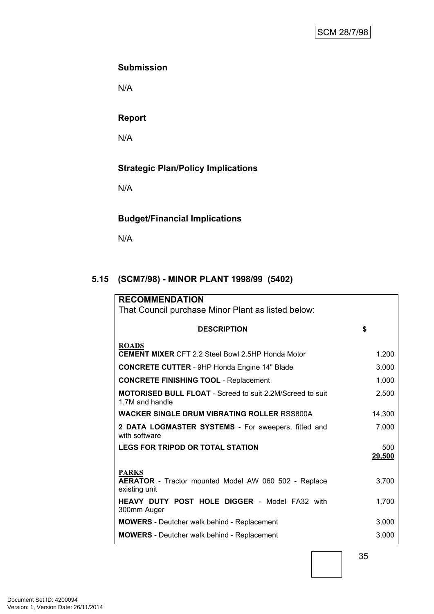# **Submission**

N/A

# **Report**

N/A

# **Strategic Plan/Policy Implications**

N/A

# **Budget/Financial Implications**

N/A

# <span id="page-36-0"></span>**5.15 (SCM7/98) - MINOR PLANT 1998/99 (5402)**

| <b>RECOMMENDATION</b>                                                                        |               |
|----------------------------------------------------------------------------------------------|---------------|
| That Council purchase Minor Plant as listed below:                                           |               |
| <b>DESCRIPTION</b>                                                                           | \$            |
| <b>ROADS</b><br><b>CEMENT MIXER CFT 2.2 Steel Bowl 2.5HP Honda Motor</b>                     | 1,200         |
| <b>CONCRETE CUTTER</b> - 9HP Honda Engine 14" Blade                                          | 3,000         |
| <b>CONCRETE FINISHING TOOL - Replacement</b>                                                 | 1,000         |
| <b>MOTORISED BULL FLOAT</b> - Screed to suit 2.2M/Screed to suit<br>1.7M and handle          | 2,500         |
| <b>WACKER SINGLE DRUM VIBRATING ROLLER RSS800A</b>                                           | 14,300        |
| 2 DATA LOGMASTER SYSTEMS - For sweepers, fitted and<br>with software                         | 7,000         |
| <b>LEGS FOR TRIPOD OR TOTAL STATION</b>                                                      | 500<br>29,500 |
| <b>PARKS</b><br><b>AERATOR</b> - Tractor mounted Model AW 060 502 - Replace<br>existing unit | 3,700         |
| <b>HEAVY DUTY POST HOLE DIGGER - Model FA32 with</b><br>300mm Auger                          | 1,700         |
| <b>MOWERS</b> - Deutcher walk behind - Replacement                                           | 3,000         |
| <b>MOWERS</b> - Deutcher walk behind - Replacement                                           | 3,000         |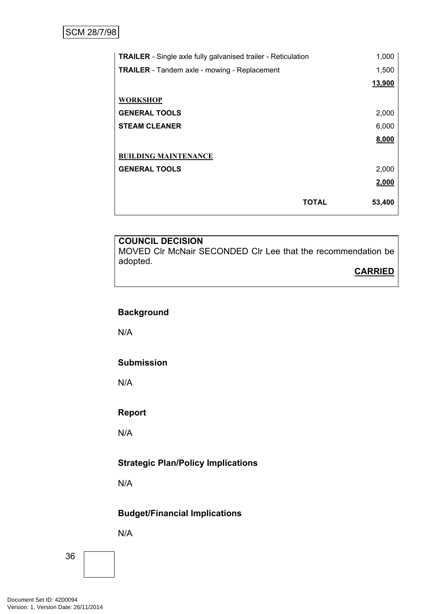| <b>TRAILER</b> - Single axle fully galvanised trailer - Reticulation | 1,000  |
|----------------------------------------------------------------------|--------|
| <b>TRAILER</b> - Tandem axle - mowing - Replacement                  | 1,500  |
|                                                                      | 13,900 |
| <b>WORKSHOP</b>                                                      |        |
| <b>GENERAL TOOLS</b>                                                 | 2,000  |
| <b>STEAM CLEANER</b>                                                 | 6,000  |
|                                                                      | 8,000  |
| <b>BUILDING MAINTENANCE</b>                                          |        |
| <b>GENERAL TOOLS</b>                                                 | 2,000  |
|                                                                      | 2,000  |
| <b>TOTAL</b>                                                         | 53,400 |

MOVED Clr McNair SECONDED Clr Lee that the recommendation be adopted.

#### **CARRIED**

# **Background**

N/A

#### **Submission**

N/A

#### **Report**

N/A

# **Strategic Plan/Policy Implications**

N/A

# **Budget/Financial Implications**

N/A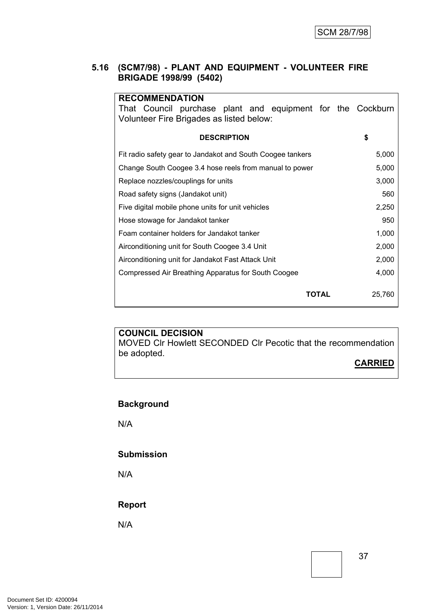#### **5.16 (SCM7/98) - PLANT AND EQUIPMENT - VOLUNTEER FIRE BRIGADE 1998/99 (5402)**

| <b>RECOMMENDATION</b><br>That Council purchase plant and equipment for the Cockburn<br>Volunteer Fire Brigades as listed below: |        |
|---------------------------------------------------------------------------------------------------------------------------------|--------|
| <b>DESCRIPTION</b>                                                                                                              | \$     |
| Fit radio safety gear to Jandakot and South Coogee tankers                                                                      | 5,000  |
| Change South Coogee 3.4 hose reels from manual to power                                                                         | 5,000  |
| Replace nozzles/couplings for units                                                                                             | 3,000  |
| Road safety signs (Jandakot unit)                                                                                               | 560    |
| Five digital mobile phone units for unit vehicles                                                                               | 2,250  |
| Hose stowage for Jandakot tanker                                                                                                | 950    |
| Foam container holders for Jandakot tanker                                                                                      | 1,000  |
| Airconditioning unit for South Coogee 3.4 Unit                                                                                  | 2,000  |
| Airconditioning unit for Jandakot Fast Attack Unit                                                                              | 2,000  |
| Compressed Air Breathing Apparatus for South Coogee                                                                             | 4,000  |
| ΤΟΤΑL                                                                                                                           | 25,760 |

#### **COUNCIL DECISION** MOVED Clr Howlett SECONDED Clr Pecotic that the recommendation

**CARRIED**

# **Background**

be adopted.

N/A

#### **Submission**

N/A

#### **Report**

N/A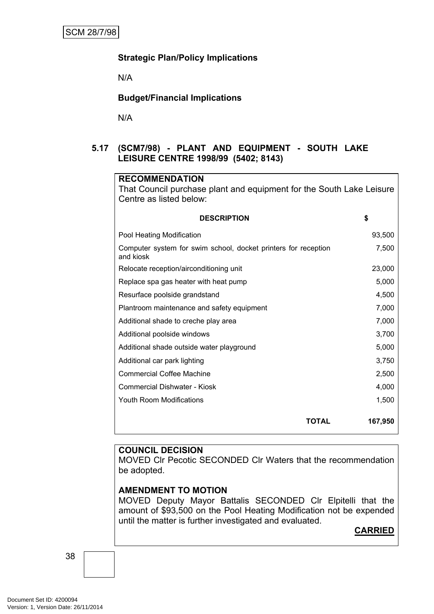#### **Strategic Plan/Policy Implications**

N/A

#### **Budget/Financial Implications**

N/A

#### **5.17 (SCM7/98) - PLANT AND EQUIPMENT - SOUTH LAKE LEISURE CENTRE 1998/99 (5402; 8143)**

| <b>RECOMMENDATION</b>                                                       |         |
|-----------------------------------------------------------------------------|---------|
| That Council purchase plant and equipment for the South Lake Leisure        |         |
| Centre as listed below:                                                     |         |
| <b>DESCRIPTION</b>                                                          | \$      |
| Pool Heating Modification                                                   | 93,500  |
| Computer system for swim school, docket printers for reception<br>and kiosk | 7,500   |
| Relocate reception/airconditioning unit                                     | 23,000  |
| Replace spa gas heater with heat pump                                       | 5,000   |
| Resurface poolside grandstand                                               | 4,500   |
| Plantroom maintenance and safety equipment                                  | 7,000   |
| Additional shade to creche play area                                        | 7,000   |
| Additional poolside windows                                                 | 3,700   |
| Additional shade outside water playground                                   | 5,000   |
| Additional car park lighting                                                | 3,750   |
| <b>Commercial Coffee Machine</b>                                            | 2,500   |
| Commercial Dishwater - Kiosk                                                | 4,000   |
| <b>Youth Room Modifications</b>                                             | 1,500   |
| <b>TOTAL</b>                                                                | 167,950 |

#### **COUNCIL DECISION**

MOVED Clr Pecotic SECONDED Clr Waters that the recommendation be adopted.

#### **AMENDMENT TO MOTION**

MOVED Deputy Mayor Battalis SECONDED Clr Elpitelli that the amount of \$93,500 on the Pool Heating Modification not be expended until the matter is further investigated and evaluated.

# **CARRIED**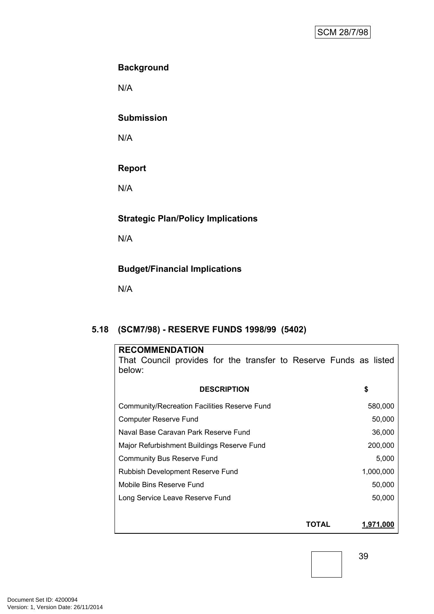# **Background**

N/A

#### **Submission**

N/A

# **Report**

N/A

# **Strategic Plan/Policy Implications**

N/A

# **Budget/Financial Implications**

N/A

# <span id="page-40-0"></span>**5.18 (SCM7/98) - RESERVE FUNDS 1998/99 (5402)**

| <b>RECOMMENDATION</b><br>That Council provides for the transfer to Reserve Funds as listed<br>below: |                    |
|------------------------------------------------------------------------------------------------------|--------------------|
| <b>DESCRIPTION</b>                                                                                   | \$                 |
| <b>Community/Recreation Facilities Reserve Fund</b>                                                  | 580,000            |
| <b>Computer Reserve Fund</b>                                                                         | 50,000             |
| Naval Base Caravan Park Reserve Fund                                                                 | 36,000             |
| Major Refurbishment Buildings Reserve Fund                                                           | 200,000            |
| <b>Community Bus Reserve Fund</b>                                                                    | 5,000              |
| Rubbish Development Reserve Fund                                                                     | 1,000,000          |
| Mobile Bins Reserve Fund                                                                             | 50,000             |
| Long Service Leave Reserve Fund                                                                      | 50,000             |
|                                                                                                      |                    |
|                                                                                                      | 1,971,000<br>ΤΟΤΑL |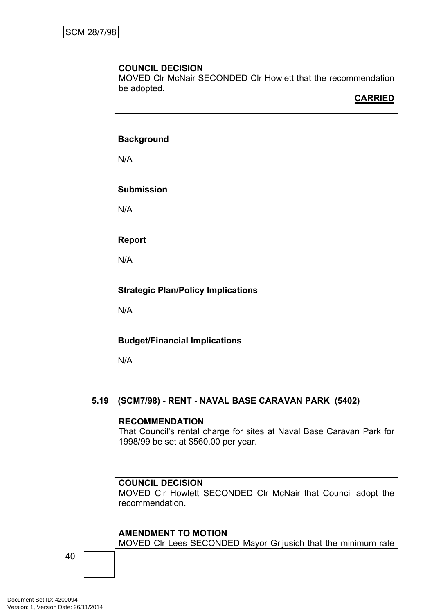MOVED Clr McNair SECONDED Clr Howlett that the recommendation be adopted.

**CARRIED**

#### **Background**

N/A

# **Submission**

N/A

# **Report**

N/A

# **Strategic Plan/Policy Implications**

N/A

# **Budget/Financial Implications**

N/A

# <span id="page-41-0"></span>**5.19 (SCM7/98) - RENT - NAVAL BASE CARAVAN PARK (5402)**

#### **RECOMMENDATION**

That Council's rental charge for sites at Naval Base Caravan Park for 1998/99 be set at \$560.00 per year.

# **COUNCIL DECISION**

MOVED Clr Howlett SECONDED Clr McNair that Council adopt the recommendation.

#### **AMENDMENT TO MOTION**

MOVED Clr Lees SECONDED Mayor Grljusich that the minimum rate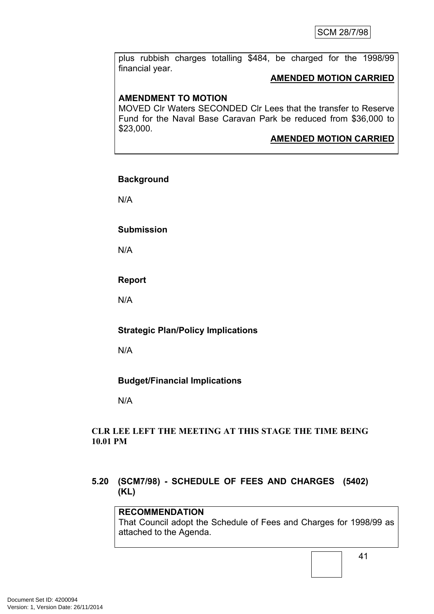plus rubbish charges totalling \$484, be charged for the 1998/99 financial year.

#### **AMENDED MOTION CARRIED**

# **AMENDMENT TO MOTION**

MOVED Clr Waters SECONDED Clr Lees that the transfer to Reserve Fund for the Naval Base Caravan Park be reduced from \$36,000 to \$23,000.

# **AMENDED MOTION CARRIED**

#### **Background**

N/A

#### **Submission**

N/A

# **Report**

N/A

# **Strategic Plan/Policy Implications**

N/A

# **Budget/Financial Implications**

N/A

#### **CLR LEE LEFT THE MEETING AT THIS STAGE THE TIME BEING 10.01 PM**

# <span id="page-42-0"></span>**5.20 (SCM7/98) - SCHEDULE OF FEES AND CHARGES (5402) (KL)**

# **RECOMMENDATION**

That Council adopt the Schedule of Fees and Charges for 1998/99 as attached to the Agenda.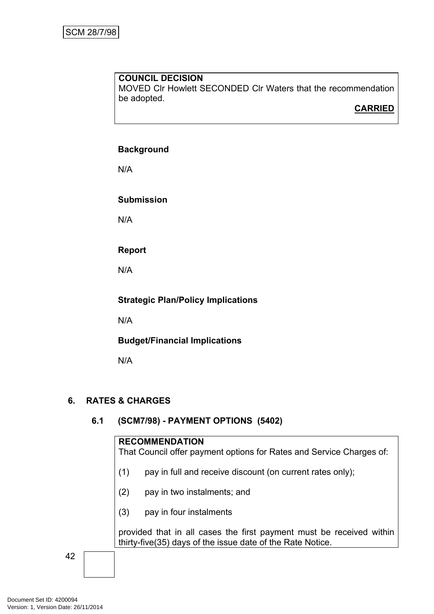MOVED Clr Howlett SECONDED Clr Waters that the recommendation be adopted.

# **CARRIED**

# **Background**

N/A

# **Submission**

N/A

# **Report**

N/A

#### **Strategic Plan/Policy Implications**

N/A

# **Budget/Financial Implications**

N/A

# <span id="page-43-0"></span>**6. RATES & CHARGES**

# <span id="page-43-1"></span>**6.1 (SCM7/98) - PAYMENT OPTIONS (5402)**

#### **RECOMMENDATION**

That Council offer payment options for Rates and Service Charges of:

- (1) pay in full and receive discount (on current rates only);
- (2) pay in two instalments; and
- (3) pay in four instalments

provided that in all cases the first payment must be received within thirty-five(35) days of the issue date of the Rate Notice.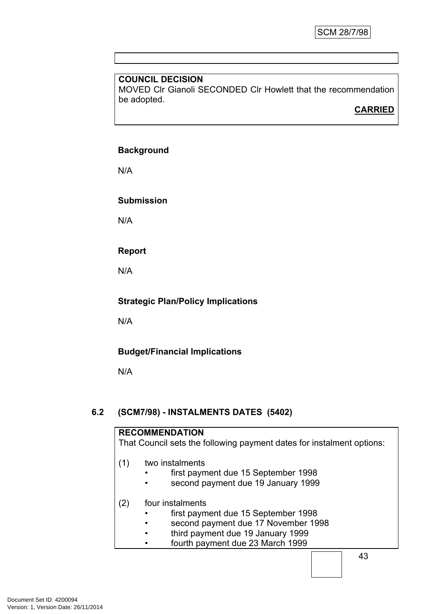MOVED Clr Gianoli SECONDED Clr Howlett that the recommendation be adopted.

# **CARRIED**

# **Background**

N/A

# **Submission**

N/A

# **Report**

N/A

# **Strategic Plan/Policy Implications**

N/A

# **Budget/Financial Implications**

N/A

# <span id="page-44-0"></span>**6.2 (SCM7/98) - INSTALMENTS DATES (5402)**

|     | <b>RECOMMENDATION</b>                                                 |
|-----|-----------------------------------------------------------------------|
|     | That Council sets the following payment dates for instalment options: |
|     |                                                                       |
| (1) | two instalments                                                       |
|     | first payment due 15 September 1998                                   |
|     | second payment due 19 January 1999                                    |
| (2) | four instalments                                                      |
|     | first payment due 15 September 1998                                   |
|     | second payment due 17 November 1998                                   |
|     | third payment due 19 January 1999                                     |
|     | fourth payment due 23 March 1999                                      |
|     |                                                                       |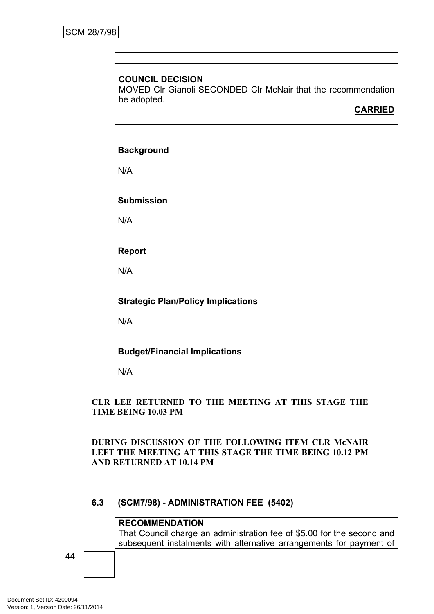MOVED Clr Gianoli SECONDED Clr McNair that the recommendation be adopted.

# **CARRIED**

# **Background**

N/A

**Submission**

N/A

**Report**

N/A

#### **Strategic Plan/Policy Implications**

N/A

# **Budget/Financial Implications**

N/A

#### **CLR LEE RETURNED TO THE MEETING AT THIS STAGE THE TIME BEING 10.03 PM**

#### **DURING DISCUSSION OF THE FOLLOWING ITEM CLR McNAIR LEFT THE MEETING AT THIS STAGE THE TIME BEING 10.12 PM AND RETURNED AT 10.14 PM**

# <span id="page-45-0"></span>**6.3 (SCM7/98) - ADMINISTRATION FEE (5402)**

#### **RECOMMENDATION**

That Council charge an administration fee of \$5.00 for the second and subsequent instalments with alternative arrangements for payment of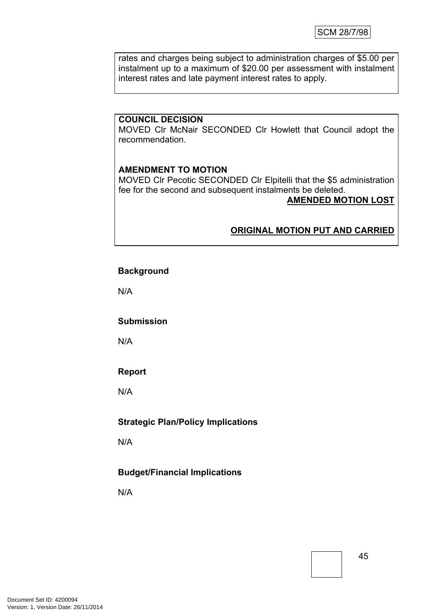rates and charges being subject to administration charges of \$5.00 per instalment up to a maximum of \$20.00 per assessment with instalment interest rates and late payment interest rates to apply.

#### **COUNCIL DECISION**

MOVED Clr McNair SECONDED Clr Howlett that Council adopt the recommendation.

#### **AMENDMENT TO MOTION**

MOVED Clr Pecotic SECONDED Clr Elpitelli that the \$5 administration fee for the second and subsequent instalments be deleted.

**AMENDED MOTION LOST**

#### **ORIGINAL MOTION PUT AND CARRIED**

#### **Background**

N/A

#### **Submission**

N/A

#### **Report**

N/A

#### **Strategic Plan/Policy Implications**

N/A

#### **Budget/Financial Implications**

N/A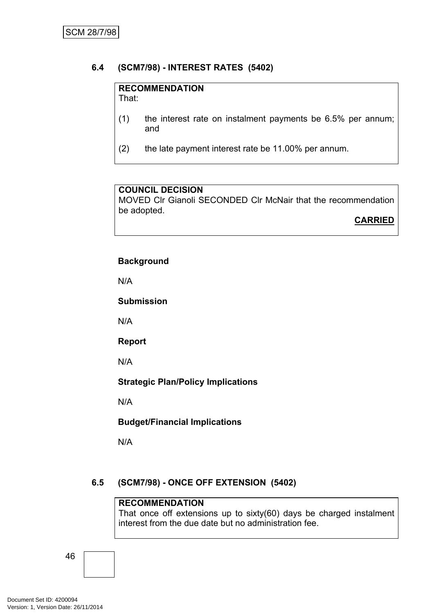# <span id="page-47-0"></span>**6.4 (SCM7/98) - INTEREST RATES (5402)**

# **RECOMMENDATION**

That:

- (1) the interest rate on instalment payments be 6.5% per annum; and
- (2) the late payment interest rate be 11.00% per annum.

# **COUNCIL DECISION**

MOVED Clr Gianoli SECONDED Clr McNair that the recommendation be adopted.

**CARRIED**

# **Background**

N/A

**Submission**

N/A

**Report**

N/A

**Strategic Plan/Policy Implications**

N/A

**Budget/Financial Implications**

N/A

# <span id="page-47-1"></span>**6.5 (SCM7/98) - ONCE OFF EXTENSION (5402)**

#### **RECOMMENDATION**

That once off extensions up to sixty(60) days be charged instalment interest from the due date but no administration fee.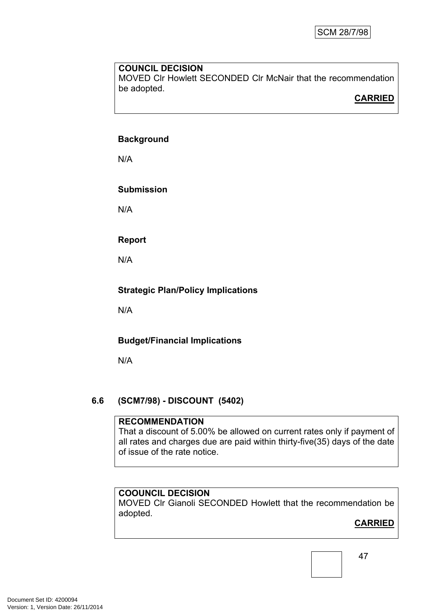MOVED Clr Howlett SECONDED Clr McNair that the recommendation be adopted.

# **CARRIED**

#### **Background**

N/A

# **Submission**

N/A

# **Report**

N/A

# **Strategic Plan/Policy Implications**

N/A

# **Budget/Financial Implications**

N/A

# <span id="page-48-0"></span>**6.6 (SCM7/98) - DISCOUNT (5402)**

#### **RECOMMENDATION**

That a discount of 5.00% be allowed on current rates only if payment of all rates and charges due are paid within thirty-five(35) days of the date of issue of the rate notice.

# **COOUNCIL DECISION**

MOVED Clr Gianoli SECONDED Howlett that the recommendation be adopted.

# **CARRIED**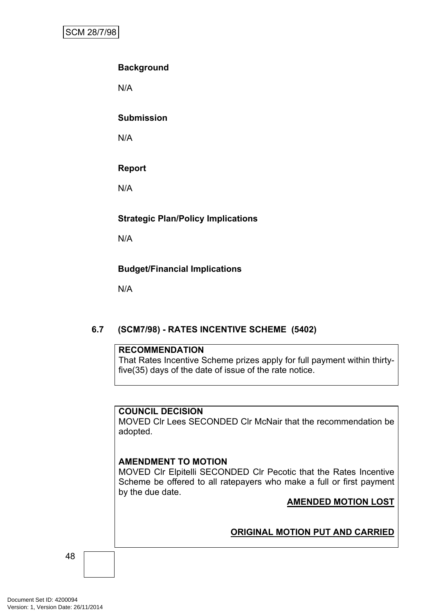# **Background**

N/A

#### **Submission**

N/A

# **Report**

N/A

# **Strategic Plan/Policy Implications**

N/A

# **Budget/Financial Implications**

N/A

# <span id="page-49-0"></span>**6.7 (SCM7/98) - RATES INCENTIVE SCHEME (5402)**

#### **RECOMMENDATION**

That Rates Incentive Scheme prizes apply for full payment within thirtyfive(35) days of the date of issue of the rate notice.

#### **COUNCIL DECISION**

MOVED Clr Lees SECONDED Clr McNair that the recommendation be adopted.

#### **AMENDMENT TO MOTION**

MOVED Clr Elpitelli SECONDED Clr Pecotic that the Rates Incentive Scheme be offered to all ratepayers who make a full or first payment by the due date.

# **AMENDED MOTION LOST**

# **ORIGINAL MOTION PUT AND CARRIED**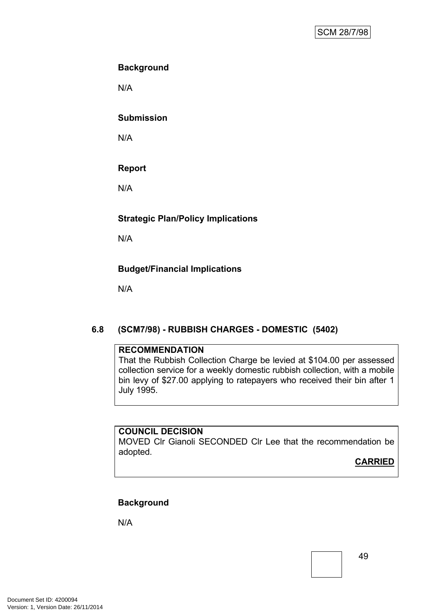# **Background**

N/A

#### **Submission**

N/A

# **Report**

N/A

# **Strategic Plan/Policy Implications**

N/A

# **Budget/Financial Implications**

N/A

# <span id="page-50-0"></span>**6.8 (SCM7/98) - RUBBISH CHARGES - DOMESTIC (5402)**

#### **RECOMMENDATION**

That the Rubbish Collection Charge be levied at \$104.00 per assessed collection service for a weekly domestic rubbish collection, with a mobile bin levy of \$27.00 applying to ratepayers who received their bin after 1 July 1995.

# **COUNCIL DECISION**

MOVED Clr Gianoli SECONDED Clr Lee that the recommendation be adopted.

**CARRIED**

# **Background**

N/A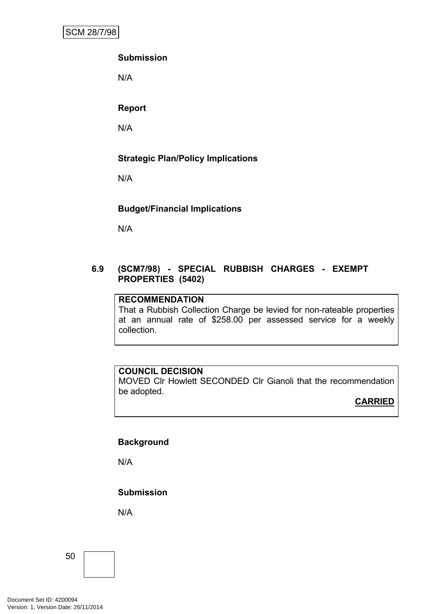# **Submission**

N/A

# **Report**

N/A

# **Strategic Plan/Policy Implications**

N/A

# **Budget/Financial Implications**

N/A

#### **6.9 (SCM7/98) - SPECIAL RUBBISH CHARGES - EXEMPT PROPERTIES (5402)**

#### **RECOMMENDATION**

That a Rubbish Collection Charge be levied for non-rateable properties at an annual rate of \$258.00 per assessed service for a weekly collection.

#### **COUNCIL DECISION**

MOVED Clr Howlett SECONDED Clr Gianoli that the recommendation be adopted.

#### **CARRIED**

#### **Background**

N/A

**Submission**

N/A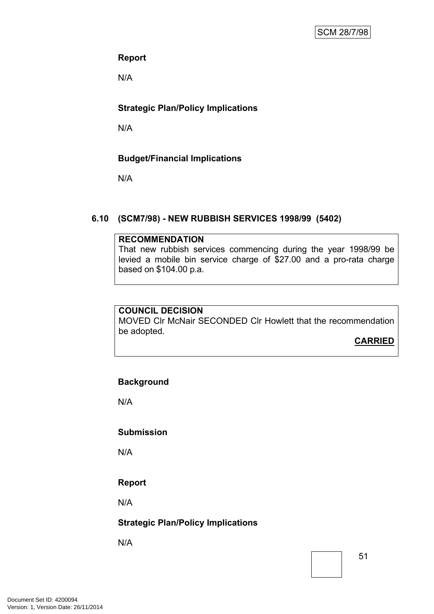# **Report**

N/A

# **Strategic Plan/Policy Implications**

N/A

# **Budget/Financial Implications**

N/A

# <span id="page-52-0"></span>**6.10 (SCM7/98) - NEW RUBBISH SERVICES 1998/99 (5402)**

#### **RECOMMENDATION**

That new rubbish services commencing during the year 1998/99 be levied a mobile bin service charge of \$27.00 and a pro-rata charge based on \$104.00 p.a.

#### **COUNCIL DECISION**

MOVED Clr McNair SECONDED Clr Howlett that the recommendation be adopted.

**CARRIED**

# **Background**

N/A

#### **Submission**

N/A

# **Report**

N/A

# **Strategic Plan/Policy Implications**

N/A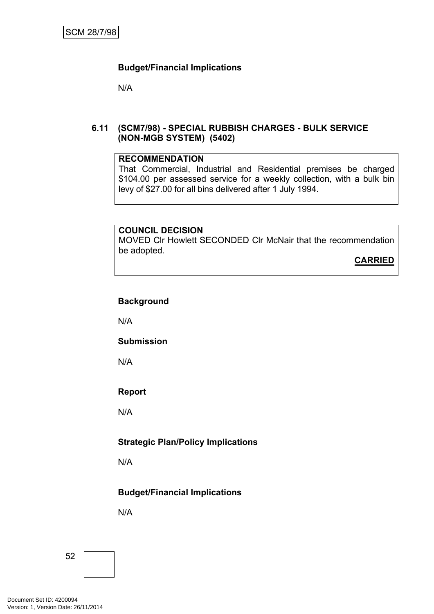N/A

#### **6.11 (SCM7/98) - SPECIAL RUBBISH CHARGES - BULK SERVICE (NON-MGB SYSTEM) (5402)**

#### **RECOMMENDATION**

That Commercial, Industrial and Residential premises be charged \$104.00 per assessed service for a weekly collection, with a bulk bin levy of \$27.00 for all bins delivered after 1 July 1994.

#### **COUNCIL DECISION**

MOVED Clr Howlett SECONDED Clr McNair that the recommendation be adopted.

**CARRIED**

#### **Background**

N/A

#### **Submission**

N/A

# **Report**

N/A

# **Strategic Plan/Policy Implications**

N/A

# **Budget/Financial Implications**

N/A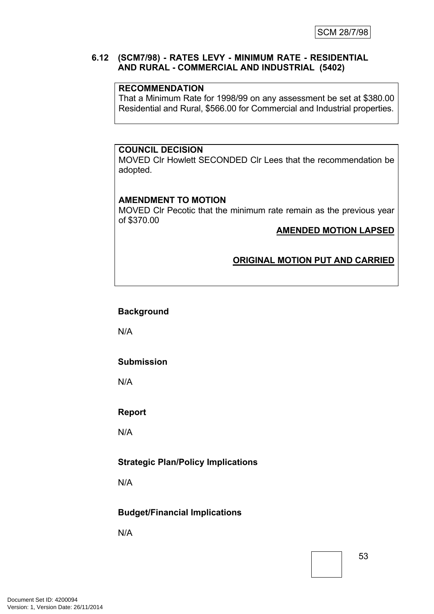#### **6.12 (SCM7/98) - RATES LEVY - MINIMUM RATE - RESIDENTIAL AND RURAL - COMMERCIAL AND INDUSTRIAL (5402)**

#### **RECOMMENDATION**

That a Minimum Rate for 1998/99 on any assessment be set at \$380.00 Residential and Rural, \$566.00 for Commercial and Industrial properties.

#### **COUNCIL DECISION**

MOVED Clr Howlett SECONDED Clr Lees that the recommendation be adopted.

#### **AMENDMENT TO MOTION**

MOVED Clr Pecotic that the minimum rate remain as the previous year of \$370.00

#### **AMENDED MOTION LAPSED**

#### **ORIGINAL MOTION PUT AND CARRIED**

#### **Background**

N/A

#### **Submission**

N/A

#### **Report**

N/A

#### **Strategic Plan/Policy Implications**

N/A

#### **Budget/Financial Implications**

N/A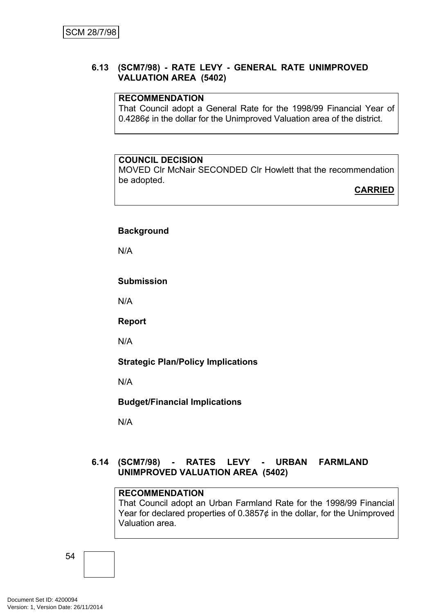#### **6.13 (SCM7/98) - RATE LEVY - GENERAL RATE UNIMPROVED VALUATION AREA (5402)**

#### **RECOMMENDATION**

That Council adopt a General Rate for the 1998/99 Financial Year of 0.4286¢ in the dollar for the Unimproved Valuation area of the district.

#### **COUNCIL DECISION**

MOVED Clr McNair SECONDED Clr Howlett that the recommendation be adopted.

**CARRIED**

#### **Background**

N/A

#### **Submission**

N/A

**Report**

N/A

**Strategic Plan/Policy Implications**

N/A

**Budget/Financial Implications**

N/A

# **6.14 (SCM7/98) - RATES LEVY - URBAN FARMLAND UNIMPROVED VALUATION AREA (5402)**

#### **RECOMMENDATION**

That Council adopt an Urban Farmland Rate for the 1998/99 Financial Year for declared properties of  $0.3857¢$  in the dollar, for the Unimproved Valuation area.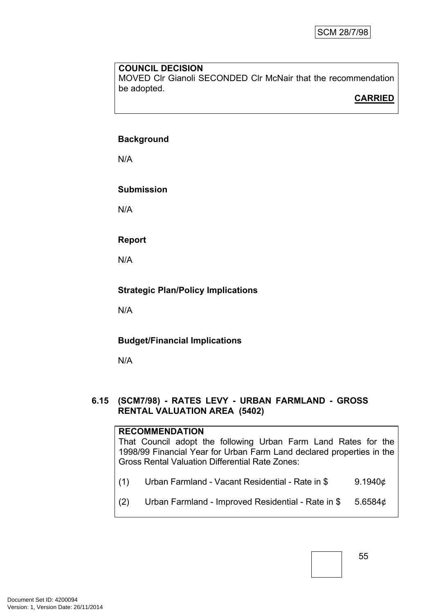MOVED Clr Gianoli SECONDED Clr McNair that the recommendation be adopted.

# **CARRIED**

#### **Background**

N/A

# **Submission**

N/A

# **Report**

N/A

# **Strategic Plan/Policy Implications**

N/A

# **Budget/Financial Implications**

N/A

#### **6.15 (SCM7/98) - RATES LEVY - URBAN FARMLAND - GROSS RENTAL VALUATION AREA (5402)**

#### **RECOMMENDATION**

That Council adopt the following Urban Farm Land Rates for the 1998/99 Financial Year for Urban Farm Land declared properties in the Gross Rental Valuation Differential Rate Zones:

- (1) Urban Farmland Vacant Residential Rate in  $$9.1940¢$
- (2) Urban Farmland Improved Residential Rate in  $$5.6584¢$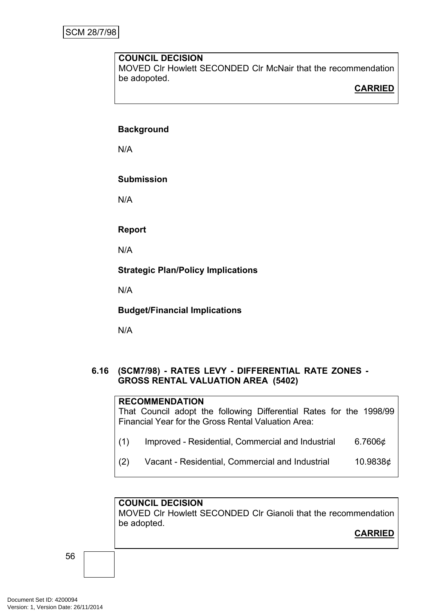MOVED Clr Howlett SECONDED Clr McNair that the recommendation be adopoted.

# **CARRIED**

#### **Background**

N/A

#### **Submission**

N/A

#### **Report**

N/A

**Strategic Plan/Policy Implications**

N/A

**Budget/Financial Implications**

N/A

#### **6.16 (SCM7/98) - RATES LEVY - DIFFERENTIAL RATE ZONES - GROSS RENTAL VALUATION AREA (5402)**

# **RECOMMENDATION**

That Council adopt the following Differential Rates for the 1998/99 Financial Year for the Gross Rental Valuation Area:

- (1) Improved Residential, Commercial and Industrial  $6.7606\phi$
- (2) Vacant Residential, Commercial and Industrial 10.9838¢

# **COUNCIL DECISION**

MOVED Clr Howlett SECONDED Clr Gianoli that the recommendation be adopted.

**CARRIED**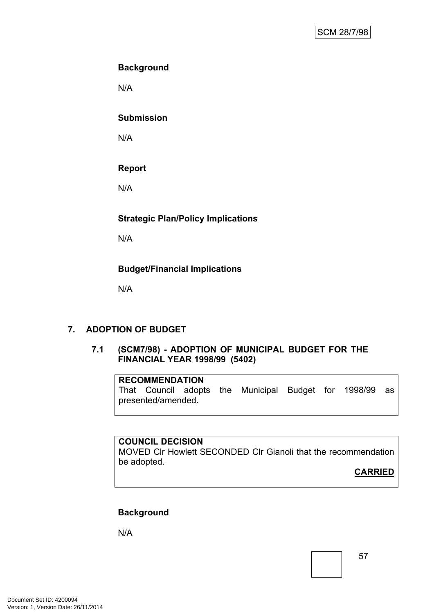# **Background**

N/A

#### **Submission**

N/A

# **Report**

N/A

# **Strategic Plan/Policy Implications**

N/A

# **Budget/Financial Implications**

N/A

# <span id="page-58-0"></span>**7. ADOPTION OF BUDGET**

#### **7.1 (SCM7/98) - ADOPTION OF MUNICIPAL BUDGET FOR THE FINANCIAL YEAR 1998/99 (5402)**

#### **RECOMMENDATION**

That Council adopts the Municipal Budget for 1998/99 as presented/amended.

#### **COUNCIL DECISION**

MOVED Clr Howlett SECONDED Clr Gianoli that the recommendation be adopted.

**CARRIED**

# **Background**

N/A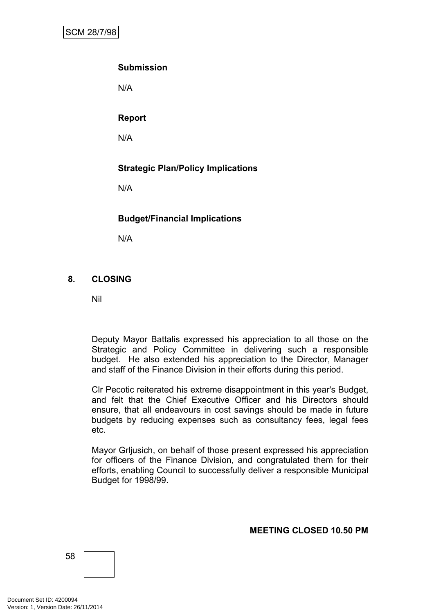# **Submission**

N/A

**Report**

N/A

# **Strategic Plan/Policy Implications**

N/A

# **Budget/Financial Implications**

N/A

# <span id="page-59-0"></span>**8. CLOSING**

Nil

Deputy Mayor Battalis expressed his appreciation to all those on the Strategic and Policy Committee in delivering such a responsible budget. He also extended his appreciation to the Director, Manager and staff of the Finance Division in their efforts during this period.

Clr Pecotic reiterated his extreme disappointment in this year's Budget, and felt that the Chief Executive Officer and his Directors should ensure, that all endeavours in cost savings should be made in future budgets by reducing expenses such as consultancy fees, legal fees etc.

Mayor Grljusich, on behalf of those present expressed his appreciation for officers of the Finance Division, and congratulated them for their efforts, enabling Council to successfully deliver a responsible Municipal Budget for 1998/99.

#### **MEETING CLOSED 10.50 PM**